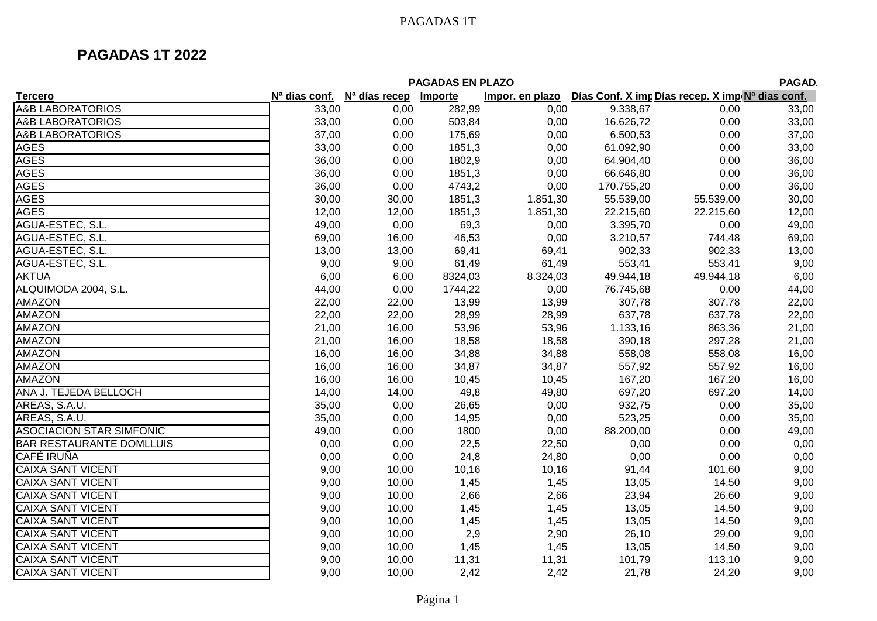| <b>PAGADAS EN PLAZO</b><br><b>PAGAD</b> |                           |                           |         |                 |            |                                                  |       |  |  |  |
|-----------------------------------------|---------------------------|---------------------------|---------|-----------------|------------|--------------------------------------------------|-------|--|--|--|
| <b>Tercero</b>                          | N <sup>a</sup> dias conf. | N <sup>a</sup> días recep | Importe | Impor. en plazo |            | Días Conf. X imp Días recep. X imp Nª dias conf. |       |  |  |  |
| <b>A&amp;B LABORATORIOS</b>             | 33,00                     | 0,00                      | 282,99  | 0,00            | 9.338,67   | 0,00                                             | 33,00 |  |  |  |
| <b>A&amp;B LABORATORIOS</b>             | 33,00                     | 0,00                      | 503,84  | 0,00            | 16.626,72  | 0,00                                             | 33,00 |  |  |  |
| <b>A&amp;B LABORATORIOS</b>             | 37,00                     | 0,00                      | 175,69  | 0,00            | 6.500,53   | 0,00                                             | 37,00 |  |  |  |
| <b>AGES</b>                             | 33,00                     | 0,00                      | 1851,3  | 0,00            | 61.092,90  | 0,00                                             | 33,00 |  |  |  |
| <b>AGES</b>                             | 36,00                     | 0,00                      | 1802,9  | 0,00            | 64.904,40  | 0,00                                             | 36,00 |  |  |  |
| <b>AGES</b>                             | 36,00                     | 0,00                      | 1851,3  | 0,00            | 66.646,80  | 0,00                                             | 36,00 |  |  |  |
| <b>AGES</b>                             | 36,00                     | 0,00                      | 4743,2  | 0,00            | 170.755,20 | 0,00                                             | 36,00 |  |  |  |
| <b>AGES</b>                             | 30,00                     | 30,00                     | 1851,3  | 1.851,30        | 55.539,00  | 55.539,00                                        | 30,00 |  |  |  |
| <b>AGES</b>                             | 12,00                     | 12,00                     | 1851,3  | 1.851,30        | 22.215,60  | 22.215,60                                        | 12,00 |  |  |  |
| AGUA-ESTEC, S.L.                        | 49,00                     | 0,00                      | 69,3    | 0,00            | 3.395,70   | 0,00                                             | 49,00 |  |  |  |
| AGUA-ESTEC, S.L.                        | 69,00                     | 16,00                     | 46,53   | 0,00            | 3.210,57   | 744,48                                           | 69,00 |  |  |  |
| AGUA-ESTEC, S.L.                        | 13,00                     | 13,00                     | 69,41   | 69,41           | 902,33     | 902,33                                           | 13,00 |  |  |  |
| AGUA-ESTEC, S.L.                        | 9,00                      | 9,00                      | 61,49   | 61,49           | 553,41     | 553,41                                           | 9,00  |  |  |  |
| <b>AKTUA</b>                            | 6,00                      | 6,00                      | 8324,03 | 8.324,03        | 49.944,18  | 49.944,18                                        | 6,00  |  |  |  |
| ALQUIMODA 2004, S.L.                    | 44,00                     | 0,00                      | 1744,22 | 0,00            | 76.745,68  | 0,00                                             | 44,00 |  |  |  |
| <b>AMAZON</b>                           | 22,00                     | 22,00                     | 13,99   | 13,99           | 307,78     | 307,78                                           | 22,00 |  |  |  |
| <b>AMAZON</b>                           | 22,00                     | 22,00                     | 28,99   | 28,99           | 637,78     | 637,78                                           | 22,00 |  |  |  |
| <b>AMAZON</b>                           | 21,00                     | 16,00                     | 53,96   | 53,96           | 1.133,16   | 863,36                                           | 21,00 |  |  |  |
| <b>AMAZON</b>                           | 21,00                     | 16,00                     | 18,58   | 18,58           | 390,18     | 297,28                                           | 21,00 |  |  |  |
| <b>AMAZON</b>                           | 16,00                     | 16,00                     | 34,88   | 34,88           | 558,08     | 558,08                                           | 16,00 |  |  |  |
| <b>AMAZON</b>                           | 16,00                     | 16,00                     | 34,87   | 34,87           | 557,92     | 557,92                                           | 16,00 |  |  |  |
| <b>AMAZON</b>                           | 16,00                     | 16,00                     | 10,45   | 10,45           | 167,20     | 167,20                                           | 16,00 |  |  |  |
| ANA J. TEJEDA BELLOCH                   | 14,00                     | 14,00                     | 49,8    | 49,80           | 697,20     | 697,20                                           | 14,00 |  |  |  |
| AREAS, S.A.U.                           | 35,00                     | 0,00                      | 26,65   | 0,00            | 932,75     | 0,00                                             | 35,00 |  |  |  |
| AREAS, S.A.U.                           | 35,00                     | 0,00                      | 14,95   | 0,00            | 523,25     | 0,00                                             | 35,00 |  |  |  |
| <b>ASOCIACION STAR SIMFONIC</b>         | 49,00                     | 0,00                      | 1800    | 0,00            | 88.200,00  | 0,00                                             | 49,00 |  |  |  |
| <b>BAR RESTAURANTE DOMLLUIS</b>         | 0,00                      | 0,00                      | 22,5    | 22,50           | 0,00       | 0,00                                             | 0,00  |  |  |  |
| <b>CAFÉ IRUÑA</b>                       | 0,00                      | 0,00                      | 24,8    | 24,80           | 0,00       | 0,00                                             | 0,00  |  |  |  |
| <b>CAIXA SANT VICENT</b>                | 9,00                      | 10,00                     | 10,16   | 10,16           | 91,44      | 101,60                                           | 9,00  |  |  |  |
| <b>CAIXA SANT VICENT</b>                | 9,00                      | 10,00                     | 1,45    | 1,45            | 13,05      | 14,50                                            | 9,00  |  |  |  |
| <b>CAIXA SANT VICENT</b>                | 9,00                      | 10,00                     | 2,66    | 2,66            | 23,94      | 26,60                                            | 9,00  |  |  |  |
| <b>CAIXA SANT VICENT</b>                | 9,00                      | 10,00                     | 1,45    | 1,45            | 13,05      | 14,50                                            | 9,00  |  |  |  |
| <b>CAIXA SANT VICENT</b>                | 9,00                      | 10,00                     | 1,45    | 1,45            | 13,05      | 14,50                                            | 9,00  |  |  |  |
| <b>CAIXA SANT VICENT</b>                | 9,00                      | 10,00                     | 2,9     | 2,90            | 26,10      | 29,00                                            | 9,00  |  |  |  |
| <b>CAIXA SANT VICENT</b>                | 9,00                      | 10,00                     | 1,45    | 1,45            | 13,05      | 14,50                                            | 9,00  |  |  |  |
| <b>CAIXA SANT VICENT</b>                | 9,00                      | 10,00                     | 11,31   | 11,31           | 101,79     | 113,10                                           | 9,00  |  |  |  |
| <b>CAIXA SANT VICENT</b>                | 9,00                      | 10,00                     | 2,42    | 2,42            | 21,78      | 24,20                                            | 9,00  |  |  |  |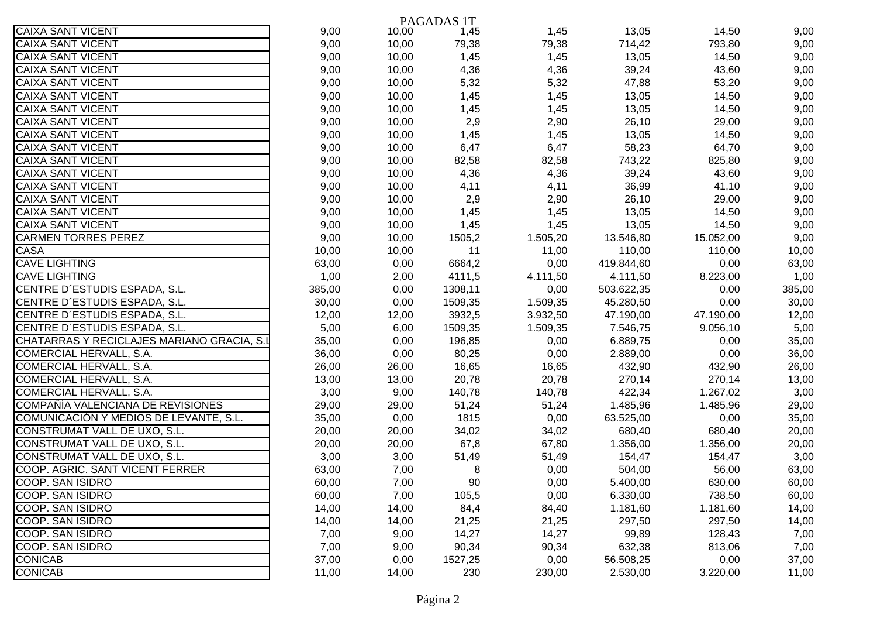|                                            |        |       | PAGADAS 1T |          |            |           |        |
|--------------------------------------------|--------|-------|------------|----------|------------|-----------|--------|
| <b>CAIXA SANT VICENT</b>                   | 9,00   | 10,00 | 1,45       | 1,45     | 13,05      | 14,50     | 9,00   |
| <b>CAIXA SANT VICENT</b>                   | 9,00   | 10,00 | 79,38      | 79,38    | 714,42     | 793,80    | 9,00   |
| <b>CAIXA SANT VICENT</b>                   | 9,00   | 10,00 | 1,45       | 1,45     | 13,05      | 14,50     | 9,00   |
| <b>CAIXA SANT VICENT</b>                   | 9,00   | 10,00 | 4,36       | 4,36     | 39,24      | 43,60     | 9,00   |
| <b>CAIXA SANT VICENT</b>                   | 9,00   | 10,00 | 5,32       | 5,32     | 47,88      | 53,20     | 9,00   |
| <b>CAIXA SANT VICENT</b>                   | 9,00   | 10,00 | 1,45       | 1,45     | 13,05      | 14,50     | 9,00   |
| <b>CAIXA SANT VICENT</b>                   | 9,00   | 10,00 | 1,45       | 1,45     | 13,05      | 14,50     | 9,00   |
| <b>CAIXA SANT VICENT</b>                   | 9,00   | 10,00 | 2,9        | 2,90     | 26,10      | 29,00     | 9,00   |
| <b>CAIXA SANT VICENT</b>                   | 9,00   | 10,00 | 1,45       | 1,45     | 13,05      | 14,50     | 9,00   |
| <b>CAIXA SANT VICENT</b>                   | 9,00   | 10,00 | 6,47       | 6,47     | 58,23      | 64,70     | 9,00   |
| <b>CAIXA SANT VICENT</b>                   | 9,00   | 10,00 | 82,58      | 82,58    | 743,22     | 825,80    | 9,00   |
| <b>CAIXA SANT VICENT</b>                   | 9,00   | 10,00 | 4,36       | 4,36     | 39,24      | 43,60     | 9,00   |
| <b>CAIXA SANT VICENT</b>                   | 9,00   | 10,00 | 4,11       | 4,11     | 36,99      | 41,10     | 9,00   |
| <b>CAIXA SANT VICENT</b>                   | 9,00   | 10,00 | 2,9        | 2,90     | 26,10      | 29,00     | 9,00   |
| <b>CAIXA SANT VICENT</b>                   | 9,00   | 10,00 | 1,45       | 1,45     | 13,05      | 14,50     | 9,00   |
| <b>CAIXA SANT VICENT</b>                   | 9,00   | 10,00 | 1,45       | 1,45     | 13,05      | 14,50     | 9,00   |
| <b>CARMEN TORRES PEREZ</b>                 | 9,00   | 10,00 | 1505,2     | 1.505,20 | 13.546,80  | 15.052,00 | 9,00   |
| <b>CASA</b>                                | 10,00  | 10,00 | 11         | 11,00    | 110,00     | 110,00    | 10,00  |
| <b>CAVE LIGHTING</b>                       | 63,00  | 0,00  | 6664,2     | 0,00     | 419.844,60 | 0,00      | 63,00  |
| <b>CAVE LIGHTING</b>                       | 1,00   | 2,00  | 4111,5     | 4.111,50 | 4.111,50   | 8.223,00  | 1,00   |
| CENTRE D'ESTUDIS ESPADA, S.L.              | 385,00 | 0,00  | 1308,11    | 0,00     | 503.622,35 | 0,00      | 385,00 |
| CENTRE D'ESTUDIS ESPADA, S.L.              | 30,00  | 0,00  | 1509,35    | 1.509,35 | 45.280,50  | 0,00      | 30,00  |
| CENTRE D'ESTUDIS ESPADA, S.L.              | 12,00  | 12,00 | 3932,5     | 3.932,50 | 47.190,00  | 47.190,00 | 12,00  |
| CENTRE D'ESTUDIS ESPADA, S.L.              | 5,00   | 6,00  | 1509,35    | 1.509,35 | 7.546,75   | 9.056,10  | 5,00   |
| CHATARRAS Y RECICLAJES MARIANO GRACIA, S.I | 35,00  | 0,00  | 196,85     | 0,00     | 6.889,75   | 0,00      | 35,00  |
| <b>COMERCIAL HERVALL, S.A.</b>             | 36,00  | 0,00  | 80,25      | 0,00     | 2.889,00   | 0,00      | 36,00  |
| <b>COMERCIAL HERVALL, S.A.</b>             | 26,00  | 26,00 | 16,65      | 16,65    | 432,90     | 432,90    | 26,00  |
| <b>COMERCIAL HERVALL, S.A.</b>             | 13,00  | 13,00 | 20,78      | 20,78    | 270,14     | 270,14    | 13,00  |
| COMERCIAL HERVALL, S.A.                    | 3,00   | 9,00  | 140,78     | 140,78   | 422,34     | 1.267,02  | 3,00   |
| COMPAÑÍA VALENCIANA DE REVISIONES          | 29,00  | 29,00 | 51,24      | 51,24    | 1.485,96   | 1.485,96  | 29,00  |
| COMUNICACIÓN Y MEDIOS DE LEVANTE, S.L.     | 35,00  | 0,00  | 1815       | 0,00     | 63.525,00  | 0,00      | 35,00  |
| CONSTRUMAT VALL DE UXO, S.L.               | 20,00  | 20,00 | 34,02      | 34,02    | 680,40     | 680,40    | 20,00  |
| CONSTRUMAT VALL DE UXO, S.L.               | 20,00  | 20,00 | 67,8       | 67,80    | 1.356,00   | 1.356,00  | 20,00  |
| CONSTRUMAT VALL DE UXO, S.L.               | 3,00   | 3,00  | 51,49      | 51,49    | 154,47     | 154,47    | 3,00   |
| COOP. AGRIC. SANT VICENT FERRER            | 63,00  | 7,00  | 8          | 0,00     | 504,00     | 56,00     | 63,00  |
| COOP. SAN ISIDRO                           | 60,00  | 7,00  | 90         | 0,00     | 5.400,00   | 630,00    | 60,00  |
| COOP. SAN ISIDRO                           | 60,00  | 7,00  | 105,5      | 0,00     | 6.330,00   | 738,50    | 60,00  |
| COOP. SAN ISIDRO                           | 14,00  | 14,00 | 84,4       | 84,40    | 1.181,60   | 1.181,60  | 14,00  |
| COOP. SAN ISIDRO                           | 14,00  | 14,00 | 21,25      | 21,25    | 297,50     | 297,50    | 14,00  |
| COOP. SAN ISIDRO                           | 7,00   | 9,00  | 14,27      | 14,27    | 99,89      | 128,43    | 7,00   |
| <b>COOP. SAN ISIDRO</b>                    | 7,00   | 9,00  | 90,34      | 90,34    | 632,38     | 813,06    | 7,00   |
| <b>CONICAB</b>                             | 37,00  | 0,00  | 1527,25    | 0,00     | 56.508,25  | 0,00      | 37,00  |
| <b>CONICAB</b>                             | 11,00  | 14,00 | 230        | 230,00   | 2.530,00   | 3.220,00  | 11,00  |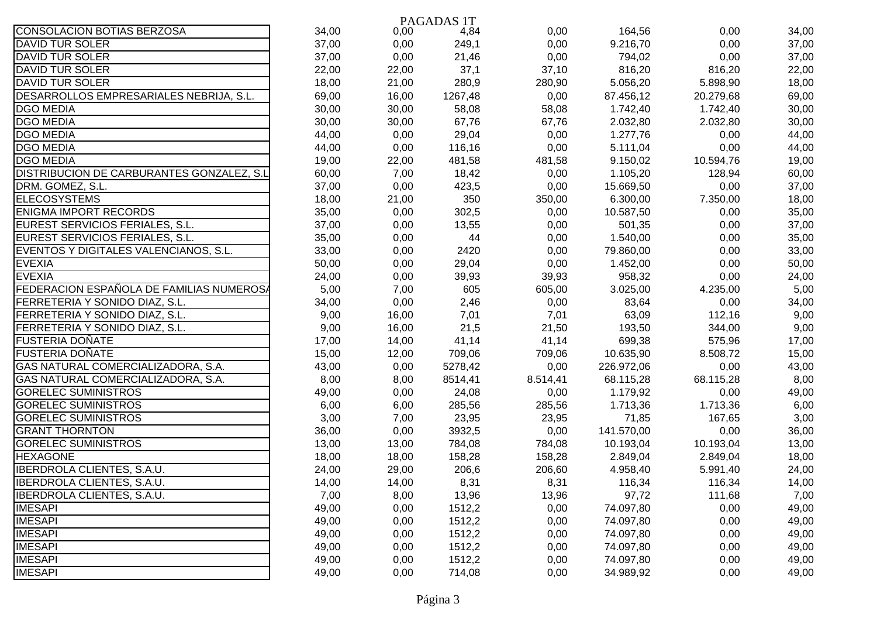|                                                  |       |       | PAGADAS 1T |          |            |           |       |
|--------------------------------------------------|-------|-------|------------|----------|------------|-----------|-------|
| <b>CONSOLACION BOTIAS BERZOSA</b>                | 34,00 | 0,00  | 4,84       | 0,00     | 164,56     | 0,00      | 34,00 |
| <b>DAVID TUR SOLER</b>                           | 37,00 | 0,00  | 249,1      | 0,00     | 9.216,70   | 0,00      | 37,00 |
| <b>DAVID TUR SOLER</b>                           | 37,00 | 0,00  | 21,46      | 0,00     | 794,02     | 0,00      | 37,00 |
| <b>DAVID TUR SOLER</b>                           | 22,00 | 22,00 | 37,1       | 37,10    | 816,20     | 816,20    | 22,00 |
| <b>DAVID TUR SOLER</b>                           | 18,00 | 21,00 | 280,9      | 280,90   | 5.056,20   | 5.898,90  | 18,00 |
| DESARROLLOS EMPRESARIALES NEBRIJA, S.L.          | 69,00 | 16,00 | 1267,48    | 0,00     | 87.456,12  | 20.279,68 | 69,00 |
| <b>DGO MEDIA</b>                                 | 30,00 | 30,00 | 58,08      | 58,08    | 1.742,40   | 1.742,40  | 30,00 |
| <b>DGO MEDIA</b>                                 | 30,00 | 30,00 | 67,76      | 67,76    | 2.032,80   | 2.032,80  | 30,00 |
| <b>DGO MEDIA</b>                                 | 44,00 | 0,00  | 29,04      | 0,00     | 1.277,76   | 0,00      | 44,00 |
| <b>DGO MEDIA</b>                                 | 44,00 | 0,00  | 116,16     | 0,00     | 5.111,04   | 0,00      | 44,00 |
| <b>DGO MEDIA</b>                                 | 19,00 | 22,00 | 481,58     | 481,58   | 9.150,02   | 10.594,76 | 19,00 |
| <b>DISTRIBUCION DE CARBURANTES GONZALEZ, S.L</b> | 60,00 | 7,00  | 18,42      | 0,00     | 1.105,20   | 128,94    | 60,00 |
| DRM. GOMEZ, S.L.                                 | 37,00 | 0,00  | 423,5      | 0,00     | 15.669,50  | 0,00      | 37,00 |
| <b>ELECOSYSTEMS</b>                              | 18,00 | 21,00 | 350        | 350,00   | 6.300,00   | 7.350,00  | 18,00 |
| <b>ENIGMA IMPORT RECORDS</b>                     | 35,00 | 0,00  | 302,5      | 0,00     | 10.587,50  | 0,00      | 35,00 |
| EUREST SERVICIOS FERIALES, S.L.                  | 37,00 | 0,00  | 13,55      | 0,00     | 501,35     | 0,00      | 37,00 |
| EUREST SERVICIOS FERIALES, S.L.                  | 35,00 | 0,00  | 44         | 0,00     | 1.540,00   | 0,00      | 35,00 |
| EVENTOS Y DIGITALES VALENCIANOS, S.L.            | 33,00 | 0,00  | 2420       | 0,00     | 79.860,00  | 0,00      | 33,00 |
| <b>EVEXIA</b>                                    | 50,00 | 0,00  | 29,04      | 0,00     | 1.452,00   | 0,00      | 50,00 |
| <b>EVEXIA</b>                                    | 24,00 | 0,00  | 39,93      | 39,93    | 958,32     | 0,00      | 24,00 |
| FEDERACION ESPAÑOLA DE FAMILIAS NUMEROSA         | 5,00  | 7,00  | 605        | 605,00   | 3.025,00   | 4.235,00  | 5,00  |
| <b>FERRETERIA Y SONIDO DIAZ, S.L.</b>            | 34,00 | 0,00  | 2,46       | 0,00     | 83,64      | 0,00      | 34,00 |
| FERRETERIA Y SONIDO DIAZ, S.L.                   | 9,00  | 16,00 | 7,01       | 7,01     | 63,09      | 112,16    | 9,00  |
| FERRETERIA Y SONIDO DIAZ, S.L.                   | 9,00  | 16,00 | 21,5       | 21,50    | 193,50     | 344,00    | 9,00  |
| FUSTERIA DOÑATE                                  | 17,00 | 14,00 | 41,14      | 41,14    | 699,38     | 575,96    | 17,00 |
| <b>FUSTERIA DOÑATE</b>                           | 15,00 | 12,00 | 709,06     | 709,06   | 10.635,90  | 8.508,72  | 15,00 |
| GAS NATURAL COMERCIALIZADORA, S.A.               | 43,00 | 0,00  | 5278,42    | 0,00     | 226.972,06 | 0,00      | 43,00 |
| GAS NATURAL COMERCIALIZADORA, S.A.               | 8,00  | 8,00  | 8514,41    | 8.514,41 | 68.115,28  | 68.115,28 | 8,00  |
| <b>GORELEC SUMINISTROS</b>                       | 49,00 | 0,00  | 24,08      | 0,00     | 1.179,92   | 0,00      | 49,00 |
| <b>GORELEC SUMINISTROS</b>                       | 6,00  | 6,00  | 285,56     | 285,56   | 1.713,36   | 1.713,36  | 6,00  |
| <b>GORELEC SUMINISTROS</b>                       | 3,00  | 7,00  | 23,95      | 23,95    | 71,85      | 167,65    | 3,00  |
| <b>GRANT THORNTON</b>                            | 36,00 | 0,00  | 3932,5     | 0,00     | 141.570,00 | 0,00      | 36,00 |
| <b>GORELEC SUMINISTROS</b>                       | 13,00 | 13,00 | 784,08     | 784,08   | 10.193,04  | 10.193,04 | 13,00 |
| <b>HEXAGONE</b>                                  | 18,00 | 18,00 | 158,28     | 158,28   | 2.849,04   | 2.849,04  | 18,00 |
| IBERDROLA CLIENTES, S.A.U.                       | 24,00 | 29,00 | 206,6      | 206,60   | 4.958,40   | 5.991,40  | 24,00 |
| <b>IBERDROLA CLIENTES, S.A.U.</b>                | 14,00 | 14,00 | 8,31       | 8,31     | 116,34     | 116,34    | 14,00 |
| <b>IBERDROLA CLIENTES, S.A.U.</b>                | 7,00  | 8,00  | 13,96      | 13,96    | 97,72      | 111,68    | 7,00  |
| <b>IMESAPI</b>                                   | 49,00 | 0,00  | 1512,2     | 0,00     | 74.097,80  | 0,00      | 49,00 |
| <b>IMESAPI</b>                                   | 49,00 | 0,00  | 1512,2     | 0,00     | 74.097,80  | 0,00      | 49,00 |
| <b>IMESAPI</b>                                   | 49,00 | 0,00  | 1512,2     | 0,00     | 74.097,80  | 0,00      | 49,00 |
| <b>IMESAPI</b>                                   | 49,00 | 0,00  | 1512,2     | 0,00     | 74.097,80  | 0,00      | 49,00 |
| <b>IMESAPI</b>                                   | 49,00 | 0,00  | 1512,2     | 0,00     | 74.097,80  | 0,00      | 49,00 |
| <b>IMESAPI</b>                                   | 49,00 | 0,00  | 714,08     | 0,00     | 34.989,92  | 0,00      | 49,00 |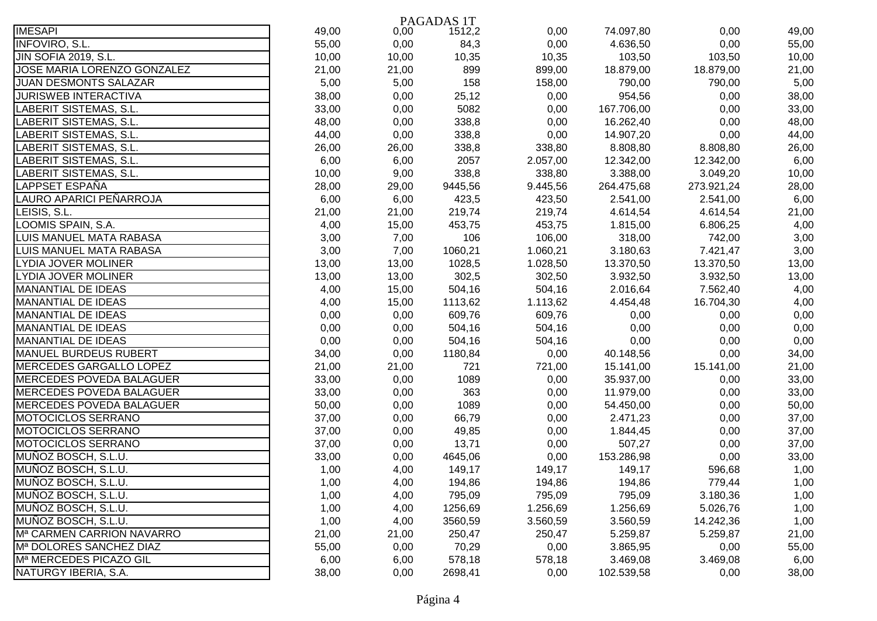|                                 |       |       | PAGADAS 1T |          |            |            |       |
|---------------------------------|-------|-------|------------|----------|------------|------------|-------|
| <b>IMESAPI</b>                  | 49,00 | 0,00  | 1512,2     | 0,00     | 74.097,80  | 0,00       | 49,00 |
| <b>INFOVIRO, S.L.</b>           | 55,00 | 0,00  | 84,3       | 0,00     | 4.636,50   | 0,00       | 55,00 |
| <b>JIN SOFIA 2019, S.L.</b>     | 10,00 | 10,00 | 10,35      | 10,35    | 103,50     | 103,50     | 10,00 |
| JOSE MARIA LORENZO GONZALEZ     | 21,00 | 21,00 | 899        | 899,00   | 18.879,00  | 18.879,00  | 21,00 |
| <b>JUAN DESMONTS SALAZAR</b>    | 5,00  | 5,00  | 158        | 158,00   | 790,00     | 790,00     | 5,00  |
| JURISWEB INTERACTIVA            | 38,00 | 0,00  | 25,12      | 0,00     | 954,56     | 0,00       | 38,00 |
| LABERIT SISTEMAS, S.L.          | 33,00 | 0,00  | 5082       | 0,00     | 167.706,00 | 0,00       | 33,00 |
| LABERIT SISTEMAS, S.L.          | 48,00 | 0,00  | 338,8      | 0,00     | 16.262,40  | 0,00       | 48,00 |
| LABERIT SISTEMAS, S.L.          | 44,00 | 0,00  | 338,8      | 0,00     | 14.907,20  | 0,00       | 44,00 |
| <b>LABERIT SISTEMAS, S.L.</b>   | 26,00 | 26,00 | 338,8      | 338,80   | 8.808,80   | 8.808,80   | 26,00 |
| <b>LABERIT SISTEMAS, S.L.</b>   | 6,00  | 6,00  | 2057       | 2.057,00 | 12.342,00  | 12.342,00  | 6,00  |
| <b>LABERIT SISTEMAS, S.L.</b>   | 10,00 | 9,00  | 338,8      | 338,80   | 3.388,00   | 3.049,20   | 10,00 |
| <b>LAPPSET ESPAÑA</b>           | 28,00 | 29,00 | 9445,56    | 9.445,56 | 264.475,68 | 273.921,24 | 28,00 |
| LAURO APARICI PEÑARROJA         | 6,00  | 6,00  | 423,5      | 423,50   | 2.541,00   | 2.541,00   | 6,00  |
| LEISIS, S.L.                    | 21,00 | 21,00 | 219,74     | 219,74   | 4.614,54   | 4.614,54   | 21,00 |
| LOOMIS SPAIN, S.A.              | 4,00  | 15,00 | 453,75     | 453,75   | 1.815,00   | 6.806,25   | 4,00  |
| LUIS MANUEL MATA RABASA         | 3,00  | 7,00  | 106        | 106,00   | 318,00     | 742,00     | 3,00  |
| LUIS MANUEL MATA RABASA         | 3,00  | 7,00  | 1060,21    | 1.060,21 | 3.180,63   | 7.421,47   | 3,00  |
| <b>LYDIA JOVER MOLINER</b>      | 13,00 | 13,00 | 1028,5     | 1.028,50 | 13.370,50  | 13.370,50  | 13,00 |
| LYDIA JOVER MOLINER             | 13,00 | 13,00 | 302,5      | 302,50   | 3.932,50   | 3.932,50   | 13,00 |
| MANANTIAL DE IDEAS              | 4,00  | 15,00 | 504,16     | 504,16   | 2.016,64   | 7.562,40   | 4,00  |
| MANANTIAL DE IDEAS              | 4,00  | 15,00 | 1113,62    | 1.113,62 | 4.454,48   | 16.704,30  | 4,00  |
| MANANTIAL DE IDEAS              | 0,00  | 0,00  | 609,76     | 609,76   | 0,00       | 0,00       | 0,00  |
| MANANTIAL DE IDEAS              | 0,00  | 0,00  | 504,16     | 504,16   | 0,00       | 0,00       | 0,00  |
| MANANTIAL DE IDEAS              | 0,00  | 0,00  | 504,16     | 504,16   | 0,00       | 0,00       | 0,00  |
| MANUEL BURDEUS RUBERT           | 34,00 | 0,00  | 1180,84    | 0,00     | 40.148,56  | 0,00       | 34,00 |
| MERCEDES GARGALLO LOPEZ         | 21,00 | 21,00 | 721        | 721,00   | 15.141,00  | 15.141,00  | 21,00 |
| <b>MERCEDES POVEDA BALAGUER</b> | 33,00 | 0,00  | 1089       | 0,00     | 35.937,00  | 0,00       | 33,00 |
| <b>MERCEDES POVEDA BALAGUER</b> | 33,00 | 0,00  | 363        | 0,00     | 11.979,00  | 0,00       | 33,00 |
| <b>MERCEDES POVEDA BALAGUER</b> | 50,00 | 0,00  | 1089       | 0,00     | 54.450,00  | 0,00       | 50,00 |
| <b>MOTOCICLOS SERRANO</b>       | 37,00 | 0,00  | 66,79      | 0,00     | 2.471,23   | 0,00       | 37,00 |
| <b>MOTOCICLOS SERRANO</b>       | 37,00 | 0,00  | 49,85      | 0,00     | 1.844,45   | 0,00       | 37,00 |
| MOTOCICLOS SERRANO              | 37,00 | 0,00  | 13,71      | 0,00     | 507,27     | 0,00       | 37,00 |
| MUÑOZ BOSCH, S.L.U.             | 33,00 | 0,00  | 4645,06    | 0,00     | 153.286,98 | 0,00       | 33,00 |
| MUÑOZ BOSCH, S.L.U.             | 1,00  | 4,00  | 149,17     | 149,17   | 149,17     | 596,68     | 1,00  |
| MUÑOZ BOSCH, S.L.U.             | 1,00  | 4,00  | 194,86     | 194,86   | 194,86     | 779,44     | 1,00  |
| MUÑOZ BOSCH, S.L.U.             | 1,00  | 4,00  | 795,09     | 795,09   | 795,09     | 3.180,36   | 1,00  |
| MUÑOZ BOSCH, S.L.U.             | 1,00  | 4,00  | 1256,69    | 1.256,69 | 1.256,69   | 5.026,76   | 1,00  |
| MUÑOZ BOSCH, S.L.U.             | 1,00  | 4,00  | 3560,59    | 3.560,59 | 3.560,59   | 14.242,36  | 1,00  |
| Mª CARMEN CARRION NAVARRO       | 21,00 | 21,00 | 250,47     | 250,47   | 5.259,87   | 5.259,87   | 21,00 |
| Mª DOLORES SANCHEZ DIAZ         | 55,00 | 0,00  | 70,29      | 0,00     | 3.865,95   | 0,00       | 55,00 |
| Mª MERCEDES PICAZO GIL          | 6,00  | 6,00  | 578,18     | 578,18   | 3.469,08   | 3.469,08   | 6,00  |
| NATURGY IBERIA, S.A.            | 38,00 | 0,00  | 2698,41    | 0,00     | 102.539,58 | 0,00       | 38,00 |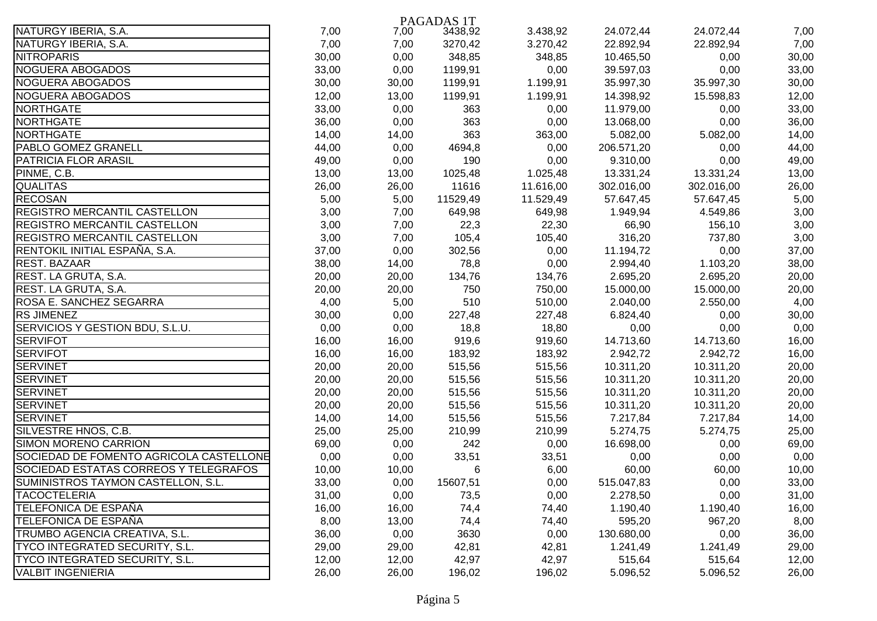|                                         |       |       | PAGADAS 1T |           |            |            |       |
|-----------------------------------------|-------|-------|------------|-----------|------------|------------|-------|
| NATURGY IBERIA, S.A.                    | 7,00  | 7,00  | 3438,92    | 3.438,92  | 24.072,44  | 24.072,44  | 7,00  |
| NATURGY IBERIA, S.A.                    | 7,00  | 7,00  | 3270,42    | 3.270,42  | 22.892,94  | 22.892,94  | 7,00  |
| <b>NITROPARIS</b>                       | 30,00 | 0,00  | 348,85     | 348,85    | 10.465,50  | 0,00       | 30,00 |
| NOGUERA ABOGADOS                        | 33,00 | 0,00  | 1199,91    | 0,00      | 39.597,03  | 0,00       | 33,00 |
| NOGUERA ABOGADOS                        | 30,00 | 30,00 | 1199,91    | 1.199,91  | 35.997,30  | 35.997,30  | 30,00 |
| NOGUERA ABOGADOS                        | 12,00 | 13,00 | 1199,91    | 1.199,91  | 14.398,92  | 15.598,83  | 12,00 |
| <b>NORTHGATE</b>                        | 33,00 | 0,00  | 363        | 0,00      | 11.979,00  | 0,00       | 33,00 |
| <b>NORTHGATE</b>                        | 36,00 | 0,00  | 363        | 0,00      | 13.068,00  | 0,00       | 36,00 |
| <b>NORTHGATE</b>                        | 14,00 | 14,00 | 363        | 363,00    | 5.082,00   | 5.082,00   | 14,00 |
| PABLO GOMEZ GRANELL                     | 44,00 | 0,00  | 4694,8     | 0,00      | 206.571,20 | 0,00       | 44,00 |
| <b>PATRICIA FLOR ARASIL</b>             | 49,00 | 0,00  | 190        | 0,00      | 9.310,00   | 0,00       | 49,00 |
| PINME, C.B.                             | 13,00 | 13,00 | 1025,48    | 1.025,48  | 13.331,24  | 13.331,24  | 13,00 |
| <b>QUALITAS</b>                         | 26,00 | 26,00 | 11616      | 11.616,00 | 302.016,00 | 302.016,00 | 26,00 |
| <b>RECOSAN</b>                          | 5,00  | 5,00  | 11529,49   | 11.529,49 | 57.647,45  | 57.647,45  | 5,00  |
| REGISTRO MERCANTIL CASTELLON            | 3,00  | 7,00  | 649,98     | 649,98    | 1.949,94   | 4.549,86   | 3,00  |
| <b>REGISTRO MERCANTIL CASTELLON</b>     | 3,00  | 7,00  | 22,3       | 22,30     | 66,90      | 156,10     | 3,00  |
| <b>REGISTRO MERCANTIL CASTELLON</b>     | 3,00  | 7,00  | 105,4      | 105,40    | 316,20     | 737,80     | 3,00  |
| RENTOKIL INITIAL ESPAÑA, S.A.           | 37,00 | 0,00  | 302,56     | 0,00      | 11.194,72  | 0,00       | 37,00 |
| <b>REST. BAZAAR</b>                     | 38,00 | 14,00 | 78,8       | 0,00      | 2.994,40   | 1.103,20   | 38,00 |
| REST. LA GRUTA, S.A.                    | 20,00 | 20,00 | 134,76     | 134,76    | 2.695,20   | 2.695,20   | 20,00 |
| REST. LA GRUTA, S.A.                    | 20,00 | 20,00 | 750        | 750,00    | 15.000,00  | 15.000,00  | 20,00 |
| ROSA E. SANCHEZ SEGARRA                 | 4,00  | 5,00  | 510        | 510,00    | 2.040,00   | 2.550,00   | 4,00  |
| <b>RS JIMENEZ</b>                       | 30,00 | 0,00  | 227,48     | 227,48    | 6.824,40   | 0,00       | 30,00 |
| SERVICIOS Y GESTION BDU, S.L.U.         | 0,00  | 0,00  | 18,8       | 18,80     | 0,00       | 0,00       | 0,00  |
| <b>SERVIFOT</b>                         | 16,00 | 16,00 | 919,6      | 919,60    | 14.713,60  | 14.713,60  | 16,00 |
| <b>SERVIFOT</b>                         | 16,00 | 16,00 | 183,92     | 183,92    | 2.942,72   | 2.942,72   | 16,00 |
| <b>SERVINET</b>                         | 20,00 | 20,00 | 515,56     | 515,56    | 10.311,20  | 10.311,20  | 20,00 |
| <b>SERVINET</b>                         | 20,00 | 20,00 | 515,56     | 515,56    | 10.311,20  | 10.311,20  | 20,00 |
| <b>SERVINET</b>                         | 20,00 | 20,00 | 515,56     | 515,56    | 10.311,20  | 10.311,20  | 20,00 |
| <b>SERVINET</b>                         | 20,00 | 20,00 | 515,56     | 515,56    | 10.311,20  | 10.311,20  | 20,00 |
| <b>SERVINET</b>                         | 14,00 | 14,00 | 515,56     | 515,56    | 7.217,84   | 7.217,84   | 14,00 |
| SILVESTRE HNOS, C.B.                    | 25,00 | 25,00 | 210,99     | 210,99    | 5.274,75   | 5.274,75   | 25,00 |
| <b>SIMON MORENO CARRION</b>             | 69,00 | 0,00  | 242        | 0,00      | 16.698,00  | 0,00       | 69,00 |
| SOCIEDAD DE FOMENTO AGRICOLA CASTELLONE | 0,00  | 0,00  | 33,51      | 33,51     | 0,00       | 0,00       | 0,00  |
| SOCIEDAD ESTATAS CORREOS Y TELEGRAFOS   | 10,00 | 10,00 | 6          | 6,00      | 60,00      | 60,00      | 10,00 |
| SUMINISTROS TAYMON CASTELLON, S.L.      | 33,00 | 0,00  | 15607,51   | 0,00      | 515.047,83 | 0,00       | 33,00 |
| <b>TACOCTELERIA</b>                     | 31,00 | 0,00  | 73,5       | 0,00      | 2.278,50   | 0,00       | 31,00 |
| <b>TELEFONICA DE ESPAÑA</b>             | 16,00 | 16,00 | 74,4       | 74,40     | 1.190,40   | 1.190,40   | 16,00 |
| <b>TELEFONICA DE ESPAÑA</b>             | 8,00  | 13,00 | 74,4       | 74,40     | 595,20     | 967,20     | 8,00  |
| TRUMBO AGENCIA CREATIVA, S.L.           | 36,00 | 0,00  | 3630       | 0,00      | 130.680,00 | 0,00       | 36,00 |
| TYCO INTEGRATED SECURITY, S.L.          | 29,00 | 29,00 | 42,81      | 42,81     | 1.241,49   | 1.241,49   | 29,00 |
| TYCO INTEGRATED SECURITY, S.L.          | 12,00 | 12,00 | 42,97      | 42,97     | 515,64     | 515,64     | 12,00 |
| <b>VALBIT INGENIERIA</b>                | 26,00 | 26,00 | 196,02     | 196,02    | 5.096,52   | 5.096,52   | 26,00 |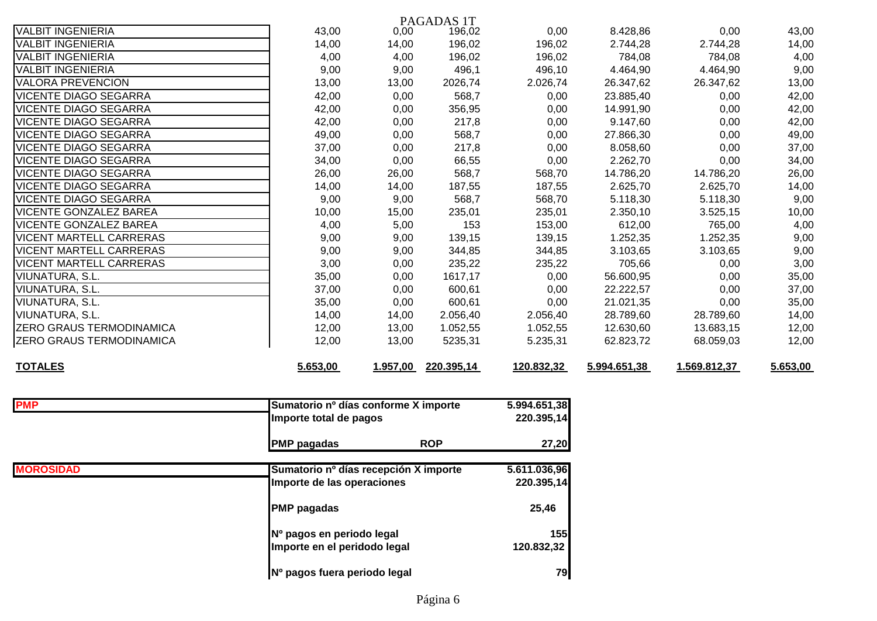|                                 |          |          | PAGADAS 1T |            |              |              |          |
|---------------------------------|----------|----------|------------|------------|--------------|--------------|----------|
| <b>VALBIT INGENIERIA</b>        | 43,00    | 0,00     | 196,02     | 0,00       | 8.428,86     | 0,00         | 43,00    |
| <b>VALBIT INGENIERIA</b>        | 14,00    | 14,00    | 196,02     | 196,02     | 2.744,28     | 2.744,28     | 14,00    |
| <b>VALBIT INGENIERIA</b>        | 4,00     | 4,00     | 196,02     | 196,02     | 784,08       | 784,08       | 4,00     |
| VALBIT INGENIERIA               | 9,00     | 9,00     | 496,1      | 496,10     | 4.464,90     | 4.464,90     | 9,00     |
| <b>VALORA PREVENCION</b>        | 13,00    | 13,00    | 2026,74    | 2.026,74   | 26.347,62    | 26.347,62    | 13,00    |
| <b>VICENTE DIAGO SEGARRA</b>    | 42,00    | 0,00     | 568,7      | 0,00       | 23.885,40    | 0,00         | 42,00    |
| <b>VICENTE DIAGO SEGARRA</b>    | 42,00    | 0,00     | 356,95     | 0,00       | 14.991,90    | 0,00         | 42,00    |
| <b>VICENTE DIAGO SEGARRA</b>    | 42,00    | 0,00     | 217,8      | 0,00       | 9.147,60     | 0,00         | 42,00    |
| <b>VICENTE DIAGO SEGARRA</b>    | 49,00    | 0,00     | 568,7      | 0,00       | 27.866,30    | 0,00         | 49,00    |
| <b>VICENTE DIAGO SEGARRA</b>    | 37,00    | 0,00     | 217,8      | 0,00       | 8.058,60     | 0,00         | 37,00    |
| <b>VICENTE DIAGO SEGARRA</b>    | 34,00    | 0,00     | 66,55      | 0,00       | 2.262,70     | 0,00         | 34,00    |
| <b>VICENTE DIAGO SEGARRA</b>    | 26,00    | 26,00    | 568,7      | 568,70     | 14.786,20    | 14.786,20    | 26,00    |
| <b>VICENTE DIAGO SEGARRA</b>    | 14,00    | 14,00    | 187,55     | 187,55     | 2.625,70     | 2.625,70     | 14,00    |
| <b>VICENTE DIAGO SEGARRA</b>    | 9,00     | 9,00     | 568,7      | 568,70     | 5.118,30     | 5.118,30     | 9,00     |
| <b>VICENTE GONZALEZ BAREA</b>   | 10,00    | 15,00    | 235,01     | 235,01     | 2.350,10     | 3.525, 15    | 10,00    |
| <b>VICENTE GONZALEZ BAREA</b>   | 4,00     | 5,00     | 153        | 153,00     | 612,00       | 765,00       | 4,00     |
| <b>VICENT MARTELL CARRERAS</b>  | 9,00     | 9,00     | 139,15     | 139,15     | 1.252,35     | 1.252,35     | 9,00     |
| <b>VICENT MARTELL CARRERAS</b>  | 9,00     | 9,00     | 344,85     | 344,85     | 3.103,65     | 3.103,65     | 9,00     |
| <b>VICENT MARTELL CARRERAS</b>  | 3,00     | 0,00     | 235,22     | 235,22     | 705,66       | 0,00         | 3,00     |
| <b>VIUNATURA, S.L.</b>          | 35,00    | 0,00     | 1617,17    | 0,00       | 56.600,95    | 0,00         | 35,00    |
| <b>VIUNATURA, S.L.</b>          | 37,00    | 0,00     | 600,61     | 0,00       | 22.222,57    | 0,00         | 37,00    |
| <b>VIUNATURA, S.L.</b>          | 35,00    | 0,00     | 600,61     | 0,00       | 21.021,35    | 0,00         | 35,00    |
| <b>VIUNATURA, S.L.</b>          | 14,00    | 14,00    | 2.056,40   | 2.056,40   | 28.789,60    | 28.789,60    | 14,00    |
| <b>ZERO GRAUS TERMODINAMICA</b> | 12,00    | 13,00    | 1.052,55   | 1.052,55   | 12.630,60    | 13.683,15    | 12,00    |
| <b>ZERO GRAUS TERMODINAMICA</b> | 12,00    | 13,00    | 5235,31    | 5.235,31   | 62.823,72    | 68.059,03    | 12,00    |
| <b>TOTALES</b>                  | 5.653,00 | 1.957,00 | 220.395,14 | 120.832,32 | 5.994.651,38 | 1.569.812,37 | 5.653,00 |

| <b>PMP</b>       | Sumatorio nº días conforme X importe  | 5.994.651,38 |
|------------------|---------------------------------------|--------------|
|                  | Importe total de pagos                | 220.395,14   |
|                  | <b>ROP</b><br><b>PMP</b> pagadas      | 27,20        |
| <b>MOROSIDAD</b> | Sumatorio nº días recepción X importe | 5.611.036,96 |
|                  | Importe de las operaciones            | 220.395,14   |
|                  | <b>PMP</b> pagadas                    | 25,46        |
|                  | Nº pagos en periodo legal             | 155          |
|                  | Importe en el peridodo legal          | 120.832,32   |
|                  | Nº pagos fuera periodo legal          | 79           |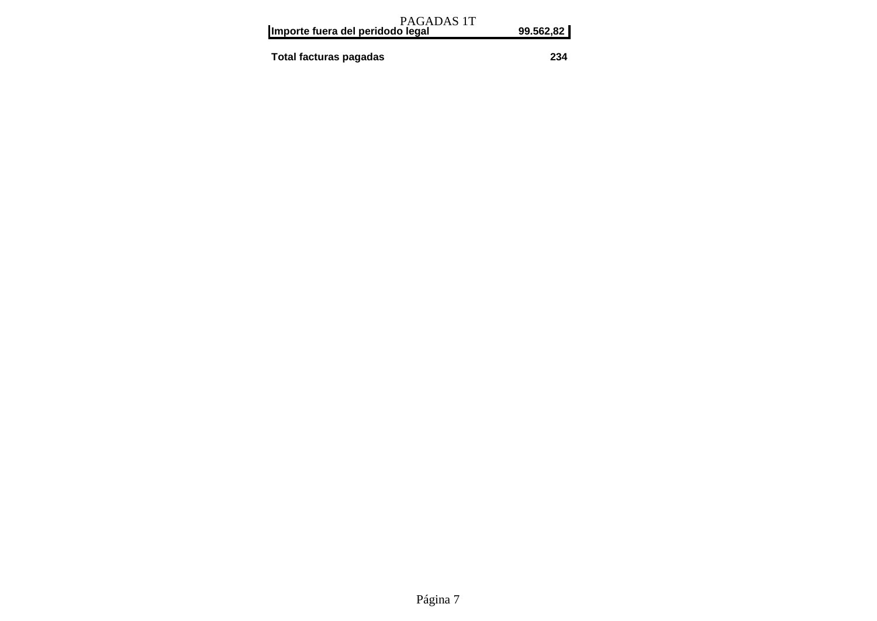| PAGADAS 1T<br>Importe fuera del peridodo legal | 99.562,82 |
|------------------------------------------------|-----------|
| Total facturas pagadas                         | 234       |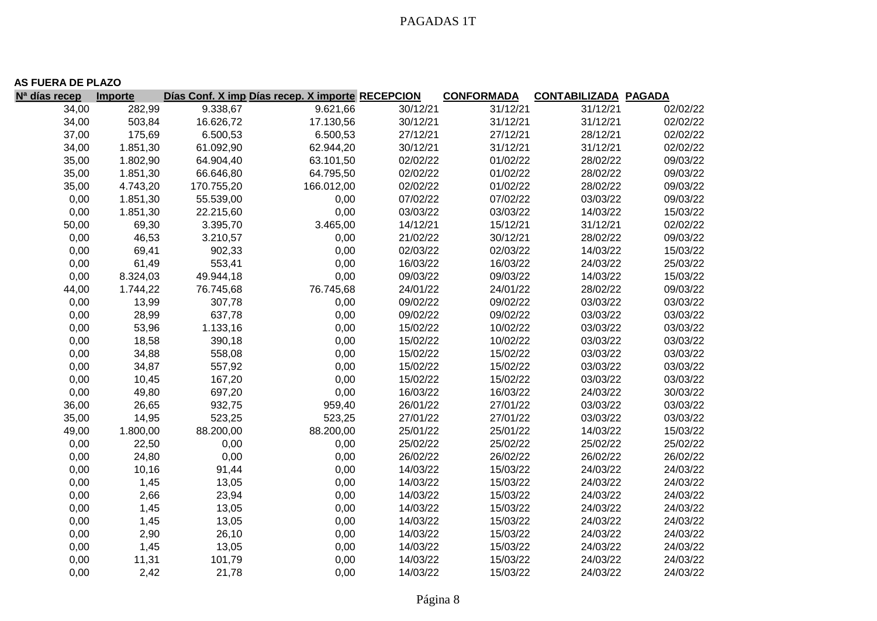|                           | <b>AS FUERA DE PLAZO</b> |            |                                                  |          |                   |                             |          |  |  |  |
|---------------------------|--------------------------|------------|--------------------------------------------------|----------|-------------------|-----------------------------|----------|--|--|--|
| N <sup>a</sup> días recep | Importe                  |            | Días Conf. X imp Días recep. X importe RECEPCION |          | <b>CONFORMADA</b> | <b>CONTABILIZADA PAGADA</b> |          |  |  |  |
| 34,00                     | 282,99                   | 9.338,67   | 9.621,66                                         | 30/12/21 | 31/12/21          | 31/12/21                    | 02/02/22 |  |  |  |
| 34,00                     | 503,84                   | 16.626,72  | 17.130,56                                        | 30/12/21 | 31/12/21          | 31/12/21                    | 02/02/22 |  |  |  |
| 37,00                     | 175,69                   | 6.500,53   | 6.500,53                                         | 27/12/21 | 27/12/21          | 28/12/21                    | 02/02/22 |  |  |  |
| 34,00                     | 1.851,30                 | 61.092,90  | 62.944,20                                        | 30/12/21 | 31/12/21          | 31/12/21                    | 02/02/22 |  |  |  |
| 35,00                     | 1.802,90                 | 64.904,40  | 63.101,50                                        | 02/02/22 | 01/02/22          | 28/02/22                    | 09/03/22 |  |  |  |
| 35,00                     | 1.851,30                 | 66.646,80  | 64.795,50                                        | 02/02/22 | 01/02/22          | 28/02/22                    | 09/03/22 |  |  |  |
| 35,00                     | 4.743,20                 | 170.755,20 | 166.012,00                                       | 02/02/22 | 01/02/22          | 28/02/22                    | 09/03/22 |  |  |  |
| 0,00                      | 1.851,30                 | 55.539,00  | 0,00                                             | 07/02/22 | 07/02/22          | 03/03/22                    | 09/03/22 |  |  |  |
| 0,00                      | 1.851,30                 | 22.215,60  | 0,00                                             | 03/03/22 | 03/03/22          | 14/03/22                    | 15/03/22 |  |  |  |
| 50,00                     | 69,30                    | 3.395,70   | 3.465,00                                         | 14/12/21 | 15/12/21          | 31/12/21                    | 02/02/22 |  |  |  |
| 0,00                      | 46,53                    | 3.210,57   | 0,00                                             | 21/02/22 | 30/12/21          | 28/02/22                    | 09/03/22 |  |  |  |
| 0,00                      | 69,41                    | 902,33     | 0,00                                             | 02/03/22 | 02/03/22          | 14/03/22                    | 15/03/22 |  |  |  |
| 0,00                      | 61,49                    | 553,41     | 0,00                                             | 16/03/22 | 16/03/22          | 24/03/22                    | 25/03/22 |  |  |  |
| 0,00                      | 8.324,03                 | 49.944,18  | 0,00                                             | 09/03/22 | 09/03/22          | 14/03/22                    | 15/03/22 |  |  |  |
| 44,00                     | 1.744,22                 | 76.745,68  | 76.745,68                                        | 24/01/22 | 24/01/22          | 28/02/22                    | 09/03/22 |  |  |  |
| 0,00                      | 13,99                    | 307,78     | 0,00                                             | 09/02/22 | 09/02/22          | 03/03/22                    | 03/03/22 |  |  |  |
| 0,00                      | 28,99                    | 637,78     | 0,00                                             | 09/02/22 | 09/02/22          | 03/03/22                    | 03/03/22 |  |  |  |
| 0,00                      | 53,96                    | 1.133,16   | 0,00                                             | 15/02/22 | 10/02/22          | 03/03/22                    | 03/03/22 |  |  |  |
| 0,00                      | 18,58                    | 390,18     | 0,00                                             | 15/02/22 | 10/02/22          | 03/03/22                    | 03/03/22 |  |  |  |
| 0,00                      | 34,88                    | 558,08     | 0,00                                             | 15/02/22 | 15/02/22          | 03/03/22                    | 03/03/22 |  |  |  |
| 0,00                      | 34,87                    | 557,92     | 0,00                                             | 15/02/22 | 15/02/22          | 03/03/22                    | 03/03/22 |  |  |  |
| 0,00                      | 10,45                    | 167,20     | 0,00                                             | 15/02/22 | 15/02/22          | 03/03/22                    | 03/03/22 |  |  |  |
| 0,00                      | 49,80                    | 697,20     | 0,00                                             | 16/03/22 | 16/03/22          | 24/03/22                    | 30/03/22 |  |  |  |
| 36,00                     | 26,65                    | 932,75     | 959,40                                           | 26/01/22 | 27/01/22          | 03/03/22                    | 03/03/22 |  |  |  |
| 35,00                     | 14,95                    | 523,25     | 523,25                                           | 27/01/22 | 27/01/22          | 03/03/22                    | 03/03/22 |  |  |  |
| 49,00                     | 1.800,00                 | 88.200,00  | 88.200,00                                        | 25/01/22 | 25/01/22          | 14/03/22                    | 15/03/22 |  |  |  |
| 0,00                      | 22,50                    | 0,00       | 0,00                                             | 25/02/22 | 25/02/22          | 25/02/22                    | 25/02/22 |  |  |  |
| 0,00                      | 24,80                    | 0,00       | 0,00                                             | 26/02/22 | 26/02/22          | 26/02/22                    | 26/02/22 |  |  |  |
| 0,00                      | 10,16                    | 91,44      | 0,00                                             | 14/03/22 | 15/03/22          | 24/03/22                    | 24/03/22 |  |  |  |
| 0,00                      | 1,45                     | 13,05      | 0,00                                             | 14/03/22 | 15/03/22          | 24/03/22                    | 24/03/22 |  |  |  |
| 0,00                      | 2,66                     | 23,94      | 0,00                                             | 14/03/22 | 15/03/22          | 24/03/22                    | 24/03/22 |  |  |  |
| 0,00                      | 1,45                     | 13,05      | 0,00                                             | 14/03/22 | 15/03/22          | 24/03/22                    | 24/03/22 |  |  |  |
| 0,00                      | 1,45                     | 13,05      | 0,00                                             | 14/03/22 | 15/03/22          | 24/03/22                    | 24/03/22 |  |  |  |
| 0,00                      | 2,90                     | 26,10      | 0,00                                             | 14/03/22 | 15/03/22          | 24/03/22                    | 24/03/22 |  |  |  |
| 0,00                      | 1,45                     | 13,05      | 0,00                                             | 14/03/22 | 15/03/22          | 24/03/22                    | 24/03/22 |  |  |  |
| 0,00                      | 11,31                    | 101,79     | 0,00                                             | 14/03/22 | 15/03/22          | 24/03/22                    | 24/03/22 |  |  |  |
| 0,00                      | 2,42                     | 21,78      | 0,00                                             | 14/03/22 | 15/03/22          | 24/03/22                    | 24/03/22 |  |  |  |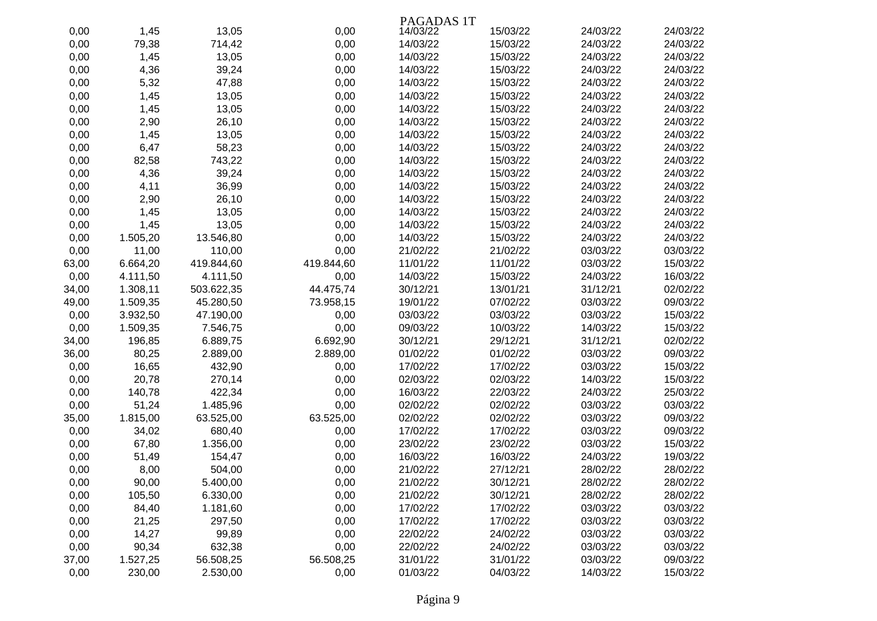|       |          |            |            | PAGADAS 1T |          |          |          |
|-------|----------|------------|------------|------------|----------|----------|----------|
| 0,00  | 1,45     | 13,05      | 0,00       | 14/03/22   | 15/03/22 | 24/03/22 | 24/03/22 |
| 0,00  | 79,38    | 714,42     | 0,00       | 14/03/22   | 15/03/22 | 24/03/22 | 24/03/22 |
| 0,00  | 1,45     | 13,05      | 0,00       | 14/03/22   | 15/03/22 | 24/03/22 | 24/03/22 |
| 0,00  | 4,36     | 39,24      | 0,00       | 14/03/22   | 15/03/22 | 24/03/22 | 24/03/22 |
| 0,00  | 5,32     | 47,88      | 0,00       | 14/03/22   | 15/03/22 | 24/03/22 | 24/03/22 |
| 0,00  | 1,45     | 13,05      | 0,00       | 14/03/22   | 15/03/22 | 24/03/22 | 24/03/22 |
| 0,00  | 1,45     | 13,05      | 0,00       | 14/03/22   | 15/03/22 | 24/03/22 | 24/03/22 |
| 0,00  | 2,90     | 26,10      | 0,00       | 14/03/22   | 15/03/22 | 24/03/22 | 24/03/22 |
| 0,00  | 1,45     | 13,05      | 0,00       | 14/03/22   | 15/03/22 | 24/03/22 | 24/03/22 |
| 0,00  | 6,47     | 58,23      | 0,00       | 14/03/22   | 15/03/22 | 24/03/22 | 24/03/22 |
| 0,00  | 82,58    | 743,22     | 0,00       | 14/03/22   | 15/03/22 | 24/03/22 | 24/03/22 |
| 0,00  | 4,36     | 39,24      | 0,00       | 14/03/22   | 15/03/22 | 24/03/22 | 24/03/22 |
| 0,00  | 4,11     | 36,99      | 0,00       | 14/03/22   | 15/03/22 | 24/03/22 | 24/03/22 |
| 0,00  | 2,90     | 26,10      | 0,00       | 14/03/22   | 15/03/22 | 24/03/22 | 24/03/22 |
| 0,00  | 1,45     | 13,05      | 0,00       | 14/03/22   | 15/03/22 | 24/03/22 | 24/03/22 |
| 0,00  | 1,45     | 13,05      | 0,00       | 14/03/22   | 15/03/22 | 24/03/22 | 24/03/22 |
| 0,00  | 1.505,20 | 13.546,80  | 0,00       | 14/03/22   | 15/03/22 | 24/03/22 | 24/03/22 |
| 0,00  | 11,00    | 110,00     | 0,00       | 21/02/22   | 21/02/22 | 03/03/22 | 03/03/22 |
| 63,00 | 6.664,20 | 419.844,60 | 419.844,60 | 11/01/22   | 11/01/22 | 03/03/22 | 15/03/22 |
| 0,00  | 4.111,50 | 4.111,50   | 0,00       | 14/03/22   | 15/03/22 | 24/03/22 | 16/03/22 |
| 34,00 | 1.308,11 | 503.622,35 | 44.475,74  | 30/12/21   | 13/01/21 | 31/12/21 | 02/02/22 |
| 49,00 | 1.509,35 | 45.280,50  | 73.958,15  | 19/01/22   | 07/02/22 | 03/03/22 | 09/03/22 |
| 0,00  | 3.932,50 | 47.190,00  | 0,00       | 03/03/22   | 03/03/22 | 03/03/22 | 15/03/22 |
| 0,00  | 1.509,35 | 7.546,75   | 0,00       | 09/03/22   | 10/03/22 | 14/03/22 | 15/03/22 |
| 34,00 | 196,85   | 6.889,75   | 6.692,90   | 30/12/21   | 29/12/21 | 31/12/21 | 02/02/22 |
| 36,00 | 80,25    | 2.889,00   | 2.889,00   | 01/02/22   | 01/02/22 | 03/03/22 | 09/03/22 |
| 0,00  | 16,65    | 432,90     | 0,00       | 17/02/22   | 17/02/22 | 03/03/22 | 15/03/22 |
| 0,00  | 20,78    | 270,14     | 0,00       | 02/03/22   | 02/03/22 | 14/03/22 | 15/03/22 |
| 0,00  | 140,78   | 422,34     | 0,00       | 16/03/22   | 22/03/22 | 24/03/22 | 25/03/22 |
| 0,00  | 51,24    | 1.485,96   | 0,00       | 02/02/22   | 02/02/22 | 03/03/22 | 03/03/22 |
| 35,00 | 1.815,00 | 63.525,00  | 63.525,00  | 02/02/22   | 02/02/22 | 03/03/22 | 09/03/22 |
| 0,00  | 34,02    | 680,40     | 0,00       | 17/02/22   | 17/02/22 | 03/03/22 | 09/03/22 |
| 0,00  | 67,80    | 1.356,00   | 0,00       | 23/02/22   | 23/02/22 | 03/03/22 | 15/03/22 |
| 0,00  | 51,49    | 154,47     | 0,00       | 16/03/22   | 16/03/22 | 24/03/22 | 19/03/22 |
| 0,00  | 8,00     | 504,00     | 0,00       | 21/02/22   | 27/12/21 | 28/02/22 | 28/02/22 |
| 0,00  | 90,00    | 5.400,00   | 0,00       | 21/02/22   | 30/12/21 | 28/02/22 | 28/02/22 |
| 0,00  | 105,50   | 6.330,00   | 0,00       | 21/02/22   | 30/12/21 | 28/02/22 | 28/02/22 |
| 0,00  | 84,40    | 1.181,60   | 0,00       | 17/02/22   | 17/02/22 | 03/03/22 | 03/03/22 |
| 0,00  | 21,25    | 297,50     | 0,00       | 17/02/22   | 17/02/22 | 03/03/22 | 03/03/22 |
| 0,00  | 14,27    | 99,89      | 0,00       | 22/02/22   | 24/02/22 | 03/03/22 | 03/03/22 |
| 0,00  | 90,34    | 632,38     | 0,00       | 22/02/22   | 24/02/22 | 03/03/22 | 03/03/22 |
| 37,00 | 1.527,25 | 56.508,25  | 56.508,25  | 31/01/22   | 31/01/22 | 03/03/22 | 09/03/22 |
| 0,00  | 230,00   | 2.530,00   | 0,00       | 01/03/22   | 04/03/22 | 14/03/22 | 15/03/22 |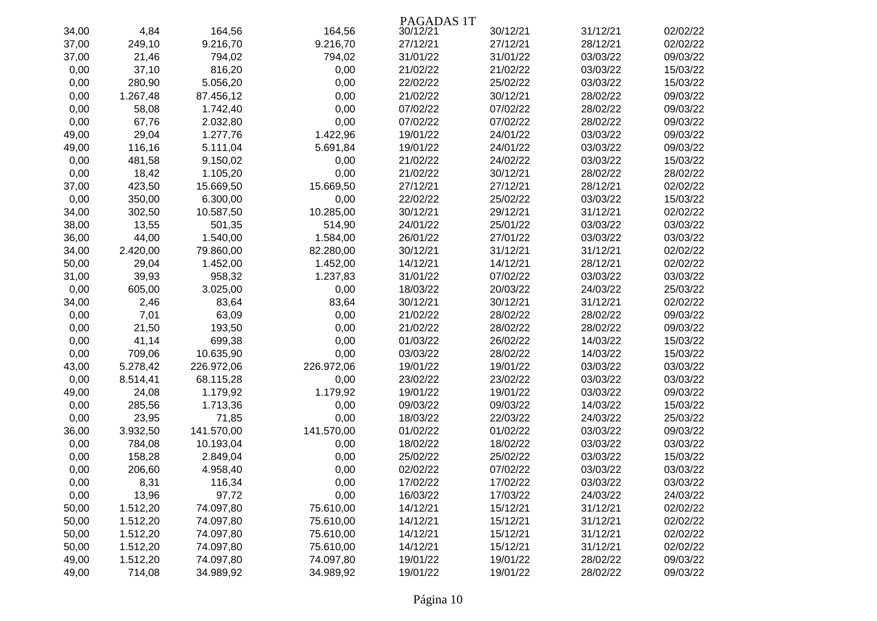|       |          |            |            | PAGADAS 1T |          |          |          |
|-------|----------|------------|------------|------------|----------|----------|----------|
| 34,00 | 4,84     | 164,56     | 164,56     | 30/12/21   | 30/12/21 | 31/12/21 | 02/02/22 |
| 37,00 | 249,10   | 9.216,70   | 9.216,70   | 27/12/21   | 27/12/21 | 28/12/21 | 02/02/22 |
| 37,00 | 21,46    | 794,02     | 794,02     | 31/01/22   | 31/01/22 | 03/03/22 | 09/03/22 |
| 0,00  | 37,10    | 816,20     | 0,00       | 21/02/22   | 21/02/22 | 03/03/22 | 15/03/22 |
| 0,00  | 280,90   | 5.056,20   | 0,00       | 22/02/22   | 25/02/22 | 03/03/22 | 15/03/22 |
| 0,00  | 1.267,48 | 87.456,12  | 0,00       | 21/02/22   | 30/12/21 | 28/02/22 | 09/03/22 |
| 0,00  | 58,08    | 1.742,40   | 0,00       | 07/02/22   | 07/02/22 | 28/02/22 | 09/03/22 |
| 0,00  | 67,76    | 2.032,80   | 0,00       | 07/02/22   | 07/02/22 | 28/02/22 | 09/03/22 |
| 49,00 | 29,04    | 1.277,76   | 1.422,96   | 19/01/22   | 24/01/22 | 03/03/22 | 09/03/22 |
| 49,00 | 116,16   | 5.111,04   | 5.691,84   | 19/01/22   | 24/01/22 | 03/03/22 | 09/03/22 |
| 0,00  | 481,58   | 9.150,02   | 0,00       | 21/02/22   | 24/02/22 | 03/03/22 | 15/03/22 |
| 0,00  | 18,42    | 1.105,20   | 0,00       | 21/02/22   | 30/12/21 | 28/02/22 | 28/02/22 |
| 37,00 | 423,50   | 15.669,50  | 15.669,50  | 27/12/21   | 27/12/21 | 28/12/21 | 02/02/22 |
| 0,00  | 350,00   | 6.300,00   | 0,00       | 22/02/22   | 25/02/22 | 03/03/22 | 15/03/22 |
| 34,00 | 302,50   | 10.587,50  | 10.285,00  | 30/12/21   | 29/12/21 | 31/12/21 | 02/02/22 |
| 38,00 | 13,55    | 501,35     | 514,90     | 24/01/22   | 25/01/22 | 03/03/22 | 03/03/22 |
| 36,00 | 44,00    | 1.540,00   | 1.584,00   | 26/01/22   | 27/01/22 | 03/03/22 | 03/03/22 |
| 34,00 | 2.420,00 | 79.860,00  | 82.280,00  | 30/12/21   | 31/12/21 | 31/12/21 | 02/02/22 |
| 50,00 | 29,04    | 1.452,00   | 1.452,00   | 14/12/21   | 14/12/21 | 28/12/21 | 02/02/22 |
| 31,00 | 39,93    | 958,32     | 1.237,83   | 31/01/22   | 07/02/22 | 03/03/22 | 03/03/22 |
| 0,00  | 605,00   | 3.025,00   | 0,00       | 18/03/22   | 20/03/22 | 24/03/22 | 25/03/22 |
| 34,00 | 2,46     | 83,64      | 83,64      | 30/12/21   | 30/12/21 | 31/12/21 | 02/02/22 |
| 0,00  | 7,01     | 63,09      | 0,00       | 21/02/22   | 28/02/22 | 28/02/22 | 09/03/22 |
| 0,00  | 21,50    | 193,50     | 0,00       | 21/02/22   | 28/02/22 | 28/02/22 | 09/03/22 |
| 0,00  | 41,14    | 699,38     | 0,00       | 01/03/22   | 26/02/22 | 14/03/22 | 15/03/22 |
| 0,00  | 709,06   | 10.635,90  | 0,00       | 03/03/22   | 28/02/22 | 14/03/22 | 15/03/22 |
| 43,00 | 5.278,42 | 226.972,06 | 226.972,06 | 19/01/22   | 19/01/22 | 03/03/22 | 03/03/22 |
| 0,00  | 8.514,41 | 68.115,28  | 0,00       | 23/02/22   | 23/02/22 | 03/03/22 | 03/03/22 |
| 49,00 | 24,08    | 1.179,92   | 1.179,92   | 19/01/22   | 19/01/22 | 03/03/22 | 09/03/22 |
| 0,00  | 285,56   | 1.713,36   | 0,00       | 09/03/22   | 09/03/22 | 14/03/22 | 15/03/22 |
| 0,00  | 23,95    | 71,85      | 0,00       | 18/03/22   | 22/03/22 | 24/03/22 | 25/03/22 |
| 36,00 | 3.932,50 | 141.570,00 | 141.570,00 | 01/02/22   | 01/02/22 | 03/03/22 | 09/03/22 |
| 0,00  | 784,08   | 10.193,04  | 0,00       | 18/02/22   | 18/02/22 | 03/03/22 | 03/03/22 |
| 0,00  | 158,28   | 2.849,04   | 0,00       | 25/02/22   | 25/02/22 | 03/03/22 | 15/03/22 |
| 0,00  | 206,60   | 4.958,40   | 0,00       | 02/02/22   | 07/02/22 | 03/03/22 | 03/03/22 |
| 0,00  | 8,31     | 116,34     | 0,00       | 17/02/22   | 17/02/22 | 03/03/22 | 03/03/22 |
| 0,00  | 13,96    | 97,72      | 0,00       | 16/03/22   | 17/03/22 | 24/03/22 | 24/03/22 |
| 50,00 | 1.512,20 | 74.097,80  | 75.610,00  | 14/12/21   | 15/12/21 | 31/12/21 | 02/02/22 |
| 50,00 | 1.512,20 | 74.097,80  | 75.610,00  | 14/12/21   | 15/12/21 | 31/12/21 | 02/02/22 |
| 50,00 | 1.512,20 | 74.097,80  | 75.610,00  | 14/12/21   | 15/12/21 | 31/12/21 | 02/02/22 |
| 50,00 | 1.512,20 | 74.097,80  | 75.610,00  | 14/12/21   | 15/12/21 | 31/12/21 | 02/02/22 |
| 49,00 | 1.512,20 | 74.097,80  | 74.097,80  | 19/01/22   | 19/01/22 | 28/02/22 | 09/03/22 |
| 49,00 | 714,08   | 34.989,92  | 34.989,92  | 19/01/22   | 19/01/22 | 28/02/22 | 09/03/22 |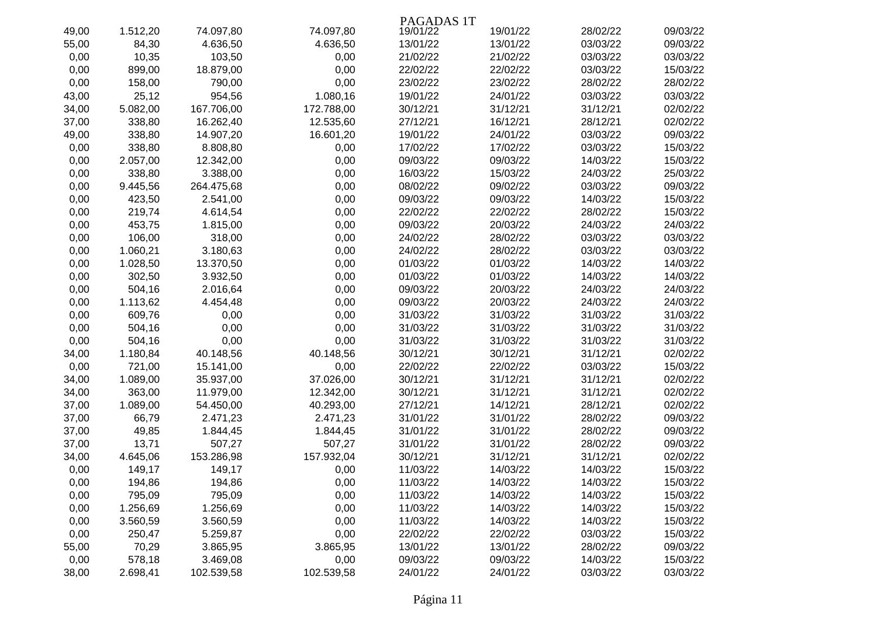|       |          |            |            | PAGADAS 1T |          |          |          |
|-------|----------|------------|------------|------------|----------|----------|----------|
| 49,00 | 1.512,20 | 74.097,80  | 74.097,80  | 19/01/22   | 19/01/22 | 28/02/22 | 09/03/22 |
| 55,00 | 84,30    | 4.636,50   | 4.636,50   | 13/01/22   | 13/01/22 | 03/03/22 | 09/03/22 |
| 0,00  | 10,35    | 103,50     | 0,00       | 21/02/22   | 21/02/22 | 03/03/22 | 03/03/22 |
| 0,00  | 899,00   | 18.879,00  | 0,00       | 22/02/22   | 22/02/22 | 03/03/22 | 15/03/22 |
| 0,00  | 158,00   | 790,00     | 0,00       | 23/02/22   | 23/02/22 | 28/02/22 | 28/02/22 |
| 43,00 | 25,12    | 954,56     | 1.080,16   | 19/01/22   | 24/01/22 | 03/03/22 | 03/03/22 |
| 34,00 | 5.082,00 | 167.706,00 | 172.788,00 | 30/12/21   | 31/12/21 | 31/12/21 | 02/02/22 |
| 37,00 | 338,80   | 16.262,40  | 12.535,60  | 27/12/21   | 16/12/21 | 28/12/21 | 02/02/22 |
| 49,00 | 338,80   | 14.907,20  | 16.601,20  | 19/01/22   | 24/01/22 | 03/03/22 | 09/03/22 |
| 0,00  | 338,80   | 8.808,80   | 0,00       | 17/02/22   | 17/02/22 | 03/03/22 | 15/03/22 |
| 0,00  | 2.057,00 | 12.342,00  | 0,00       | 09/03/22   | 09/03/22 | 14/03/22 | 15/03/22 |
| 0,00  | 338,80   | 3.388,00   | 0,00       | 16/03/22   | 15/03/22 | 24/03/22 | 25/03/22 |
| 0,00  | 9.445,56 | 264.475,68 | 0,00       | 08/02/22   | 09/02/22 | 03/03/22 | 09/03/22 |
| 0,00  | 423,50   | 2.541,00   | 0,00       | 09/03/22   | 09/03/22 | 14/03/22 | 15/03/22 |
| 0,00  | 219,74   | 4.614,54   | 0,00       | 22/02/22   | 22/02/22 | 28/02/22 | 15/03/22 |
| 0,00  | 453,75   | 1.815,00   | 0,00       | 09/03/22   | 20/03/22 | 24/03/22 | 24/03/22 |
| 0,00  | 106,00   | 318,00     | 0,00       | 24/02/22   | 28/02/22 | 03/03/22 | 03/03/22 |
| 0,00  | 1.060,21 | 3.180,63   | 0,00       | 24/02/22   | 28/02/22 | 03/03/22 | 03/03/22 |
| 0,00  | 1.028,50 | 13.370,50  | 0,00       | 01/03/22   | 01/03/22 | 14/03/22 | 14/03/22 |
| 0,00  | 302,50   | 3.932,50   | 0,00       | 01/03/22   | 01/03/22 | 14/03/22 | 14/03/22 |
| 0,00  | 504,16   | 2.016,64   | 0,00       | 09/03/22   | 20/03/22 | 24/03/22 | 24/03/22 |
| 0,00  | 1.113,62 | 4.454,48   | 0,00       | 09/03/22   | 20/03/22 | 24/03/22 | 24/03/22 |
| 0,00  | 609,76   | 0,00       | 0,00       | 31/03/22   | 31/03/22 | 31/03/22 | 31/03/22 |
| 0,00  | 504,16   | 0,00       | 0,00       | 31/03/22   | 31/03/22 | 31/03/22 | 31/03/22 |
| 0,00  | 504,16   | 0,00       | 0,00       | 31/03/22   | 31/03/22 | 31/03/22 | 31/03/22 |
| 34,00 | 1.180,84 | 40.148,56  | 40.148,56  | 30/12/21   | 30/12/21 | 31/12/21 | 02/02/22 |
| 0,00  | 721,00   | 15.141,00  | 0,00       | 22/02/22   | 22/02/22 | 03/03/22 | 15/03/22 |
| 34,00 | 1.089,00 | 35.937,00  | 37.026,00  | 30/12/21   | 31/12/21 | 31/12/21 | 02/02/22 |
| 34,00 | 363,00   | 11.979,00  | 12.342,00  | 30/12/21   | 31/12/21 | 31/12/21 | 02/02/22 |
| 37,00 | 1.089,00 | 54.450,00  | 40.293,00  | 27/12/21   | 14/12/21 | 28/12/21 | 02/02/22 |
| 37,00 | 66,79    | 2.471,23   | 2.471,23   | 31/01/22   | 31/01/22 | 28/02/22 | 09/03/22 |
| 37,00 | 49,85    | 1.844,45   | 1.844,45   | 31/01/22   | 31/01/22 | 28/02/22 | 09/03/22 |
| 37,00 | 13,71    | 507,27     | 507,27     | 31/01/22   | 31/01/22 | 28/02/22 | 09/03/22 |
| 34,00 | 4.645,06 | 153.286,98 | 157.932,04 | 30/12/21   | 31/12/21 | 31/12/21 | 02/02/22 |
| 0,00  | 149,17   | 149,17     | 0,00       | 11/03/22   | 14/03/22 | 14/03/22 | 15/03/22 |
| 0,00  | 194,86   | 194,86     | 0,00       | 11/03/22   | 14/03/22 | 14/03/22 | 15/03/22 |
| 0,00  | 795,09   | 795,09     | 0,00       | 11/03/22   | 14/03/22 | 14/03/22 | 15/03/22 |
| 0,00  | 1.256,69 | 1.256,69   | 0,00       | 11/03/22   | 14/03/22 | 14/03/22 | 15/03/22 |
| 0,00  | 3.560,59 | 3.560,59   | 0,00       | 11/03/22   | 14/03/22 | 14/03/22 | 15/03/22 |
| 0,00  | 250,47   | 5.259,87   | 0,00       | 22/02/22   | 22/02/22 | 03/03/22 | 15/03/22 |
| 55,00 | 70,29    | 3.865,95   | 3.865,95   | 13/01/22   | 13/01/22 | 28/02/22 | 09/03/22 |
| 0,00  | 578,18   | 3.469,08   | 0,00       | 09/03/22   | 09/03/22 | 14/03/22 | 15/03/22 |
| 38,00 | 2.698,41 | 102.539,58 | 102.539,58 | 24/01/22   | 24/01/22 | 03/03/22 | 03/03/22 |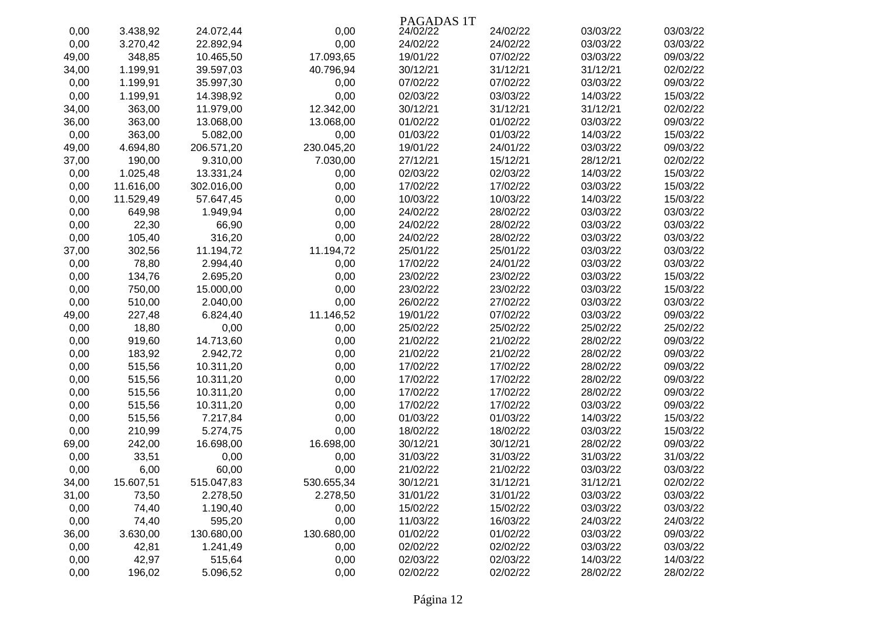|       |           |            |            | PAGADAS 1T |          |          |          |
|-------|-----------|------------|------------|------------|----------|----------|----------|
| 0,00  | 3.438,92  | 24.072,44  | 0,00       | 24/02/22   | 24/02/22 | 03/03/22 | 03/03/22 |
| 0,00  | 3.270,42  | 22.892,94  | 0,00       | 24/02/22   | 24/02/22 | 03/03/22 | 03/03/22 |
| 49,00 | 348,85    | 10.465,50  | 17.093,65  | 19/01/22   | 07/02/22 | 03/03/22 | 09/03/22 |
| 34,00 | 1.199,91  | 39.597,03  | 40.796,94  | 30/12/21   | 31/12/21 | 31/12/21 | 02/02/22 |
| 0,00  | 1.199,91  | 35.997,30  | 0,00       | 07/02/22   | 07/02/22 | 03/03/22 | 09/03/22 |
| 0,00  | 1.199,91  | 14.398,92  | 0,00       | 02/03/22   | 03/03/22 | 14/03/22 | 15/03/22 |
| 34,00 | 363,00    | 11.979,00  | 12.342,00  | 30/12/21   | 31/12/21 | 31/12/21 | 02/02/22 |
| 36,00 | 363,00    | 13.068,00  | 13.068,00  | 01/02/22   | 01/02/22 | 03/03/22 | 09/03/22 |
| 0,00  | 363,00    | 5.082,00   | 0,00       | 01/03/22   | 01/03/22 | 14/03/22 | 15/03/22 |
| 49,00 | 4.694,80  | 206.571,20 | 230.045,20 | 19/01/22   | 24/01/22 | 03/03/22 | 09/03/22 |
| 37,00 | 190,00    | 9.310,00   | 7.030,00   | 27/12/21   | 15/12/21 | 28/12/21 | 02/02/22 |
| 0,00  | 1.025,48  | 13.331,24  | 0,00       | 02/03/22   | 02/03/22 | 14/03/22 | 15/03/22 |
| 0,00  | 11.616,00 | 302.016,00 | 0,00       | 17/02/22   | 17/02/22 | 03/03/22 | 15/03/22 |
| 0,00  | 11.529,49 | 57.647,45  | 0,00       | 10/03/22   | 10/03/22 | 14/03/22 | 15/03/22 |
| 0,00  | 649,98    | 1.949,94   | 0,00       | 24/02/22   | 28/02/22 | 03/03/22 | 03/03/22 |
| 0,00  | 22,30     | 66,90      | 0,00       | 24/02/22   | 28/02/22 | 03/03/22 | 03/03/22 |
| 0,00  | 105,40    | 316,20     | 0,00       | 24/02/22   | 28/02/22 | 03/03/22 | 03/03/22 |
| 37,00 | 302,56    | 11.194,72  | 11.194,72  | 25/01/22   | 25/01/22 | 03/03/22 | 03/03/22 |
| 0,00  | 78,80     | 2.994,40   | 0,00       | 17/02/22   | 24/01/22 | 03/03/22 | 03/03/22 |
| 0,00  | 134,76    | 2.695,20   | 0,00       | 23/02/22   | 23/02/22 | 03/03/22 | 15/03/22 |
| 0,00  | 750,00    | 15.000,00  | 0,00       | 23/02/22   | 23/02/22 | 03/03/22 | 15/03/22 |
| 0,00  | 510,00    | 2.040,00   | 0,00       | 26/02/22   | 27/02/22 | 03/03/22 | 03/03/22 |
| 49,00 | 227,48    | 6.824,40   | 11.146,52  | 19/01/22   | 07/02/22 | 03/03/22 | 09/03/22 |
| 0,00  | 18,80     | 0,00       | 0,00       | 25/02/22   | 25/02/22 | 25/02/22 | 25/02/22 |
| 0,00  | 919,60    | 14.713,60  | 0,00       | 21/02/22   | 21/02/22 | 28/02/22 | 09/03/22 |
| 0,00  | 183,92    | 2.942,72   | 0,00       | 21/02/22   | 21/02/22 | 28/02/22 | 09/03/22 |
| 0,00  | 515,56    | 10.311,20  | 0,00       | 17/02/22   | 17/02/22 | 28/02/22 | 09/03/22 |
| 0,00  | 515,56    | 10.311,20  | 0,00       | 17/02/22   | 17/02/22 | 28/02/22 | 09/03/22 |
| 0,00  | 515,56    | 10.311,20  | 0,00       | 17/02/22   | 17/02/22 | 28/02/22 | 09/03/22 |
| 0,00  | 515,56    | 10.311,20  | 0,00       | 17/02/22   | 17/02/22 | 03/03/22 | 09/03/22 |
| 0,00  | 515,56    | 7.217,84   | 0,00       | 01/03/22   | 01/03/22 | 14/03/22 | 15/03/22 |
| 0,00  | 210,99    | 5.274,75   | 0,00       | 18/02/22   | 18/02/22 | 03/03/22 | 15/03/22 |
| 69,00 | 242,00    | 16.698,00  | 16.698,00  | 30/12/21   | 30/12/21 | 28/02/22 | 09/03/22 |
| 0,00  | 33,51     | 0,00       | 0,00       | 31/03/22   | 31/03/22 | 31/03/22 | 31/03/22 |
| 0,00  | 6,00      | 60,00      | 0,00       | 21/02/22   | 21/02/22 | 03/03/22 | 03/03/22 |
| 34,00 | 15.607,51 | 515.047,83 | 530.655,34 | 30/12/21   | 31/12/21 | 31/12/21 | 02/02/22 |
| 31,00 | 73,50     | 2.278,50   | 2.278,50   | 31/01/22   | 31/01/22 | 03/03/22 | 03/03/22 |
| 0,00  | 74,40     | 1.190,40   | 0,00       | 15/02/22   | 15/02/22 | 03/03/22 | 03/03/22 |
| 0,00  | 74,40     | 595,20     | 0,00       | 11/03/22   | 16/03/22 | 24/03/22 | 24/03/22 |
| 36,00 | 3.630,00  | 130.680,00 | 130.680,00 | 01/02/22   | 01/02/22 | 03/03/22 | 09/03/22 |
| 0,00  | 42,81     | 1.241,49   | 0,00       | 02/02/22   | 02/02/22 | 03/03/22 | 03/03/22 |
| 0,00  | 42,97     | 515,64     | 0,00       | 02/03/22   | 02/03/22 | 14/03/22 | 14/03/22 |
| 0,00  | 196,02    | 5.096,52   | 0,00       | 02/02/22   | 02/02/22 | 28/02/22 | 28/02/22 |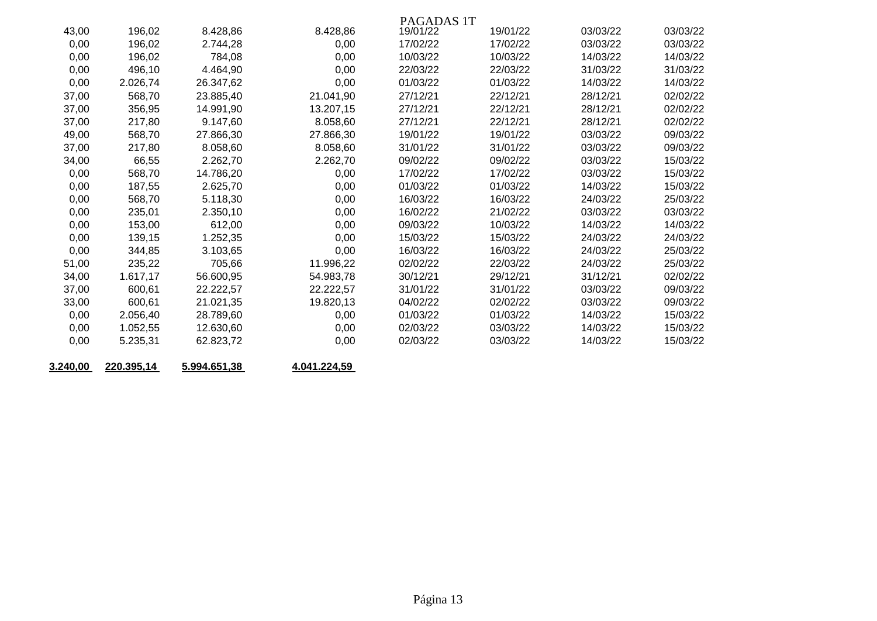|       |          |           |           | PAGADAS 1T |          |          |          |
|-------|----------|-----------|-----------|------------|----------|----------|----------|
| 43,00 | 196,02   | 8.428,86  | 8.428,86  | 19/01/22   | 19/01/22 | 03/03/22 | 03/03/22 |
| 0,00  | 196,02   | 2.744,28  | 0,00      | 17/02/22   | 17/02/22 | 03/03/22 | 03/03/22 |
| 0,00  | 196,02   | 784,08    | 0,00      | 10/03/22   | 10/03/22 | 14/03/22 | 14/03/22 |
| 0,00  | 496,10   | 4.464,90  | 0,00      | 22/03/22   | 22/03/22 | 31/03/22 | 31/03/22 |
| 0,00  | 2.026,74 | 26.347,62 | 0,00      | 01/03/22   | 01/03/22 | 14/03/22 | 14/03/22 |
| 37,00 | 568,70   | 23.885,40 | 21.041,90 | 27/12/21   | 22/12/21 | 28/12/21 | 02/02/22 |
| 37,00 | 356,95   | 14.991,90 | 13.207,15 | 27/12/21   | 22/12/21 | 28/12/21 | 02/02/22 |
| 37,00 | 217,80   | 9.147,60  | 8.058,60  | 27/12/21   | 22/12/21 | 28/12/21 | 02/02/22 |
| 49,00 | 568,70   | 27.866,30 | 27.866,30 | 19/01/22   | 19/01/22 | 03/03/22 | 09/03/22 |
| 37,00 | 217,80   | 8.058,60  | 8.058,60  | 31/01/22   | 31/01/22 | 03/03/22 | 09/03/22 |
| 34,00 | 66,55    | 2.262,70  | 2.262,70  | 09/02/22   | 09/02/22 | 03/03/22 | 15/03/22 |
| 0,00  | 568,70   | 14.786,20 | 0,00      | 17/02/22   | 17/02/22 | 03/03/22 | 15/03/22 |
| 0,00  | 187,55   | 2.625,70  | 0,00      | 01/03/22   | 01/03/22 | 14/03/22 | 15/03/22 |
| 0,00  | 568,70   | 5.118,30  | 0,00      | 16/03/22   | 16/03/22 | 24/03/22 | 25/03/22 |
| 0,00  | 235,01   | 2.350,10  | 0,00      | 16/02/22   | 21/02/22 | 03/03/22 | 03/03/22 |
| 0,00  | 153,00   | 612,00    | 0,00      | 09/03/22   | 10/03/22 | 14/03/22 | 14/03/22 |
| 0,00  | 139,15   | 1.252,35  | 0,00      | 15/03/22   | 15/03/22 | 24/03/22 | 24/03/22 |
| 0,00  | 344,85   | 3.103,65  | 0,00      | 16/03/22   | 16/03/22 | 24/03/22 | 25/03/22 |
| 51,00 | 235,22   | 705,66    | 11.996,22 | 02/02/22   | 22/03/22 | 24/03/22 | 25/03/22 |
| 34,00 | 1.617,17 | 56.600,95 | 54.983,78 | 30/12/21   | 29/12/21 | 31/12/21 | 02/02/22 |
| 37,00 | 600,61   | 22.222,57 | 22.222,57 | 31/01/22   | 31/01/22 | 03/03/22 | 09/03/22 |
| 33,00 | 600,61   | 21.021,35 | 19.820,13 | 04/02/22   | 02/02/22 | 03/03/22 | 09/03/22 |
| 0,00  | 2.056,40 | 28.789,60 | 0,00      | 01/03/22   | 01/03/22 | 14/03/22 | 15/03/22 |
| 0,00  | 1.052,55 | 12.630,60 | 0,00      | 02/03/22   | 03/03/22 | 14/03/22 | 15/03/22 |
| 0,00  | 5.235,31 | 62.823,72 | 0,00      | 02/03/22   | 03/03/22 | 14/03/22 | 15/03/22 |
|       |          |           |           |            |          |          |          |

**3.240,00 220.395,14 5.994.651,38 4.041.224,59**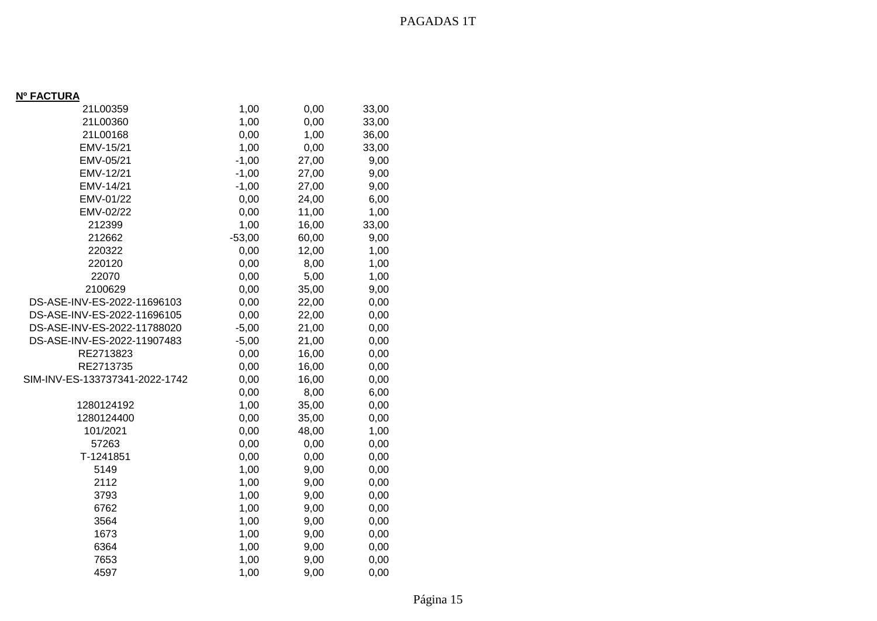## **Nº FACTURA**

| 21L00359                       | 1,00     | 0,00  | 33,00 |
|--------------------------------|----------|-------|-------|
| 21L00360                       | 1,00     | 0,00  | 33,00 |
| 21L00168                       | 0,00     | 1,00  | 36,00 |
| EMV-15/21                      | 1,00     | 0,00  | 33,00 |
| EMV-05/21                      | $-1,00$  | 27,00 | 9,00  |
| EMV-12/21                      | $-1,00$  | 27,00 | 9,00  |
| EMV-14/21                      | $-1,00$  | 27,00 | 9,00  |
| EMV-01/22                      | 0,00     | 24,00 | 6,00  |
| EMV-02/22                      | 0,00     | 11,00 | 1,00  |
| 212399                         | 1,00     | 16,00 | 33,00 |
| 212662                         | $-53,00$ | 60,00 | 9,00  |
| 220322                         | 0,00     | 12,00 | 1,00  |
| 220120                         | 0,00     | 8,00  | 1,00  |
| 22070                          | 0,00     | 5,00  | 1,00  |
| 2100629                        | 0,00     | 35,00 | 9,00  |
| DS-ASE-INV-ES-2022-11696103    | 0,00     | 22,00 | 0,00  |
| DS-ASE-INV-ES-2022-11696105    | 0,00     | 22,00 | 0,00  |
| DS-ASE-INV-ES-2022-11788020    | $-5,00$  | 21,00 | 0,00  |
| DS-ASE-INV-ES-2022-11907483    | $-5,00$  | 21,00 | 0,00  |
| RE2713823                      | 0,00     | 16,00 | 0,00  |
| RE2713735                      | 0,00     | 16,00 | 0,00  |
| SIM-INV-ES-133737341-2022-1742 | 0,00     | 16,00 | 0,00  |
|                                | 0,00     | 8,00  | 6,00  |
| 1280124192                     | 1,00     | 35,00 | 0,00  |
| 1280124400                     | 0,00     | 35,00 | 0,00  |
| 101/2021                       | 0,00     | 48,00 | 1,00  |
| 57263                          | 0,00     | 0,00  | 0,00  |
| T-1241851                      | 0,00     | 0,00  | 0,00  |
| 5149                           | 1,00     | 9,00  | 0,00  |
| 2112                           | 1,00     | 9,00  | 0,00  |
| 3793                           | 1,00     | 9,00  | 0,00  |
| 6762                           | 1,00     | 9,00  | 0,00  |
| 3564                           | 1,00     | 9,00  | 0,00  |
| 1673                           | 1,00     | 9,00  | 0,00  |
| 6364                           | 1,00     | 9,00  | 0,00  |
| 7653                           | 1,00     | 9,00  | 0,00  |
| 4597                           | 1,00     | 9,00  | 0,00  |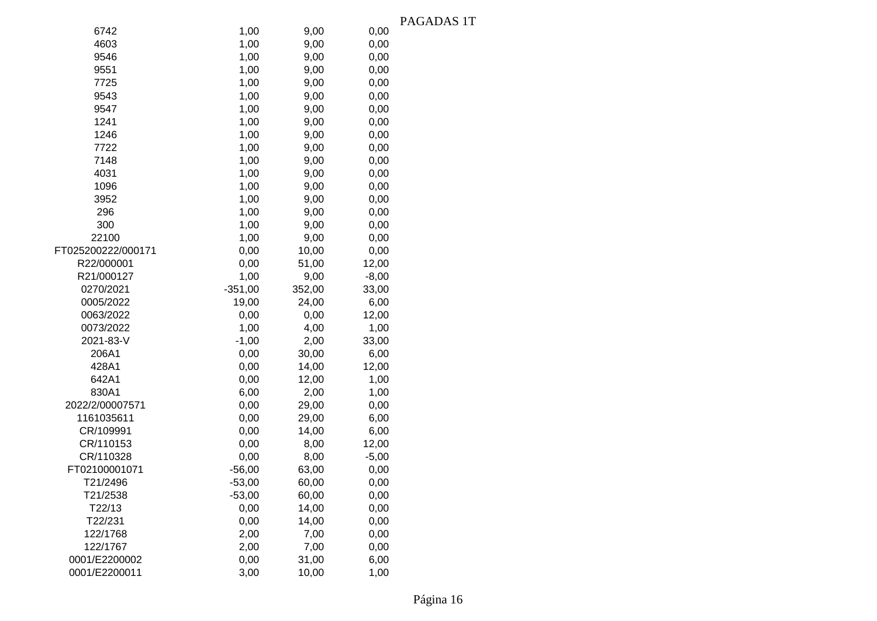|                    |           |        |         | rau |
|--------------------|-----------|--------|---------|-----|
| 6742               | 1,00      | 9,00   | 0,00    |     |
| 4603               | 1,00      | 9,00   | 0,00    |     |
| 9546               | 1,00      | 9,00   | 0,00    |     |
| 9551               | 1,00      | 9,00   | 0,00    |     |
| 7725               | 1,00      | 9,00   | 0,00    |     |
| 9543               | 1,00      | 9,00   | 0,00    |     |
| 9547               | 1,00      | 9,00   | 0,00    |     |
| 1241               | 1,00      | 9,00   | 0,00    |     |
| 1246               | 1,00      | 9,00   | 0,00    |     |
| 7722               | 1,00      | 9,00   | 0,00    |     |
| 7148               | 1,00      | 9,00   | 0,00    |     |
| 4031               | 1,00      | 9,00   | 0,00    |     |
| 1096               | 1,00      | 9,00   | 0,00    |     |
| 3952               | 1,00      | 9,00   | 0,00    |     |
| 296                | 1,00      | 9,00   | 0,00    |     |
| 300                | 1,00      | 9,00   | 0,00    |     |
| 22100              | 1,00      | 9,00   | 0,00    |     |
| FT025200222/000171 | 0,00      | 10,00  | 0,00    |     |
| R22/000001         | 0,00      | 51,00  | 12,00   |     |
| R21/000127         | 1,00      | 9,00   | $-8,00$ |     |
| 0270/2021          | $-351,00$ | 352,00 | 33,00   |     |
| 0005/2022          | 19,00     | 24,00  | 6,00    |     |
| 0063/2022          | 0,00      | 0,00   | 12,00   |     |
| 0073/2022          | 1,00      | 4,00   | 1,00    |     |
| 2021-83-V          | $-1,00$   | 2,00   | 33,00   |     |
| 206A1              | 0,00      | 30,00  | 6,00    |     |
| 428A1              | 0,00      | 14,00  | 12,00   |     |
| 642A1              | 0,00      | 12,00  | 1,00    |     |
| 830A1              | 6,00      | 2,00   | 1,00    |     |
| 2022/2/00007571    | 0,00      | 29,00  | 0,00    |     |
| 1161035611         | 0,00      | 29,00  | 6,00    |     |
| CR/109991          | 0,00      | 14,00  | 6,00    |     |
| CR/110153          | 0,00      | 8,00   | 12,00   |     |
| CR/110328          | 0,00      | 8,00   | $-5,00$ |     |
| FT02100001071      | $-56,00$  | 63,00  | 0,00    |     |
| T21/2496           | $-53,00$  | 60,00  | 0,00    |     |
| T21/2538           | $-53,00$  | 60,00  | 0,00    |     |
| T22/13             | 0,00      | 14,00  | 0,00    |     |
| T22/231            | 0,00      | 14,00  | 0,00    |     |
| 122/1768           | 2,00      | 7,00   | 0,00    |     |
| 122/1767           | 2,00      | 7,00   | 0,00    |     |
| 0001/E2200002      | 0,00      | 31,00  | 6,00    |     |
| 0001/E2200011      | 3,00      | 10,00  | 1,00    |     |
|                    |           |        |         |     |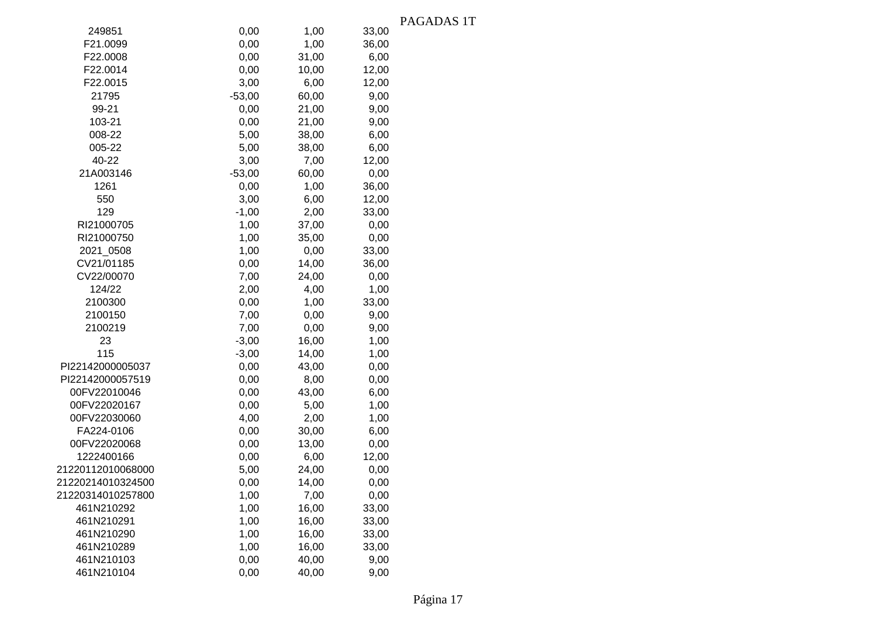|                   |          |       |       | PAGADAS 1T |
|-------------------|----------|-------|-------|------------|
| 249851            | 0,00     | 1,00  | 33,00 |            |
| F21.0099          | 0,00     | 1,00  | 36,00 |            |
| F22.0008          | 0,00     | 31,00 | 6,00  |            |
| F22.0014          | 0,00     | 10,00 | 12,00 |            |
| F22.0015          | 3,00     | 6,00  | 12,00 |            |
| 21795             | $-53,00$ | 60,00 | 9,00  |            |
| 99-21             | 0,00     | 21,00 | 9,00  |            |
| 103-21            | 0,00     | 21,00 | 9,00  |            |
| 008-22            | 5,00     | 38,00 | 6,00  |            |
| 005-22            | 5,00     | 38,00 | 6,00  |            |
| 40-22             | 3,00     | 7,00  | 12,00 |            |
| 21A003146         | $-53,00$ | 60,00 | 0,00  |            |
| 1261              | 0,00     | 1,00  | 36,00 |            |
| 550               | 3,00     | 6,00  | 12,00 |            |
| 129               | $-1,00$  | 2,00  | 33,00 |            |
| RI21000705        | 1,00     | 37,00 | 0,00  |            |
| RI21000750        | 1,00     | 35,00 | 0,00  |            |
| 2021_0508         | 1,00     | 0,00  | 33,00 |            |
| CV21/01185        | 0,00     | 14,00 | 36,00 |            |
| CV22/00070        | 7,00     | 24,00 | 0,00  |            |
| 124/22            | 2,00     | 4,00  | 1,00  |            |
| 2100300           | 0,00     | 1,00  | 33,00 |            |
| 2100150           | 7,00     | 0,00  | 9,00  |            |
| 2100219           | 7,00     | 0,00  | 9,00  |            |
| 23                | $-3,00$  | 16,00 | 1,00  |            |
| 115               | $-3,00$  | 14,00 | 1,00  |            |
| PI22142000005037  | 0,00     | 43,00 | 0,00  |            |
| PI22142000057519  | 0,00     | 8,00  | 0,00  |            |
| 00FV22010046      | 0,00     | 43,00 | 6,00  |            |
| 00FV22020167      | 0,00     | 5,00  | 1,00  |            |
| 00FV22030060      | 4,00     | 2,00  | 1,00  |            |
| FA224-0106        | 0,00     | 30,00 | 6,00  |            |
| 00FV22020068      | 0,00     | 13,00 | 0,00  |            |
| 1222400166        | 0,00     | 6,00  | 12,00 |            |
| 21220112010068000 | 5,00     | 24,00 | 0,00  |            |
| 21220214010324500 | 0,00     | 14,00 | 0,00  |            |
| 21220314010257800 | 1,00     | 7,00  | 0,00  |            |
| 461N210292        | 1,00     | 16,00 | 33,00 |            |
| 461N210291        | 1,00     | 16,00 | 33,00 |            |
| 461N210290        | 1,00     | 16,00 | 33,00 |            |
| 461N210289        | 1,00     | 16,00 | 33,00 |            |
| 461N210103        | 0,00     | 40,00 | 9,00  |            |
| 461N210104        | 0,00     | 40,00 | 9,00  |            |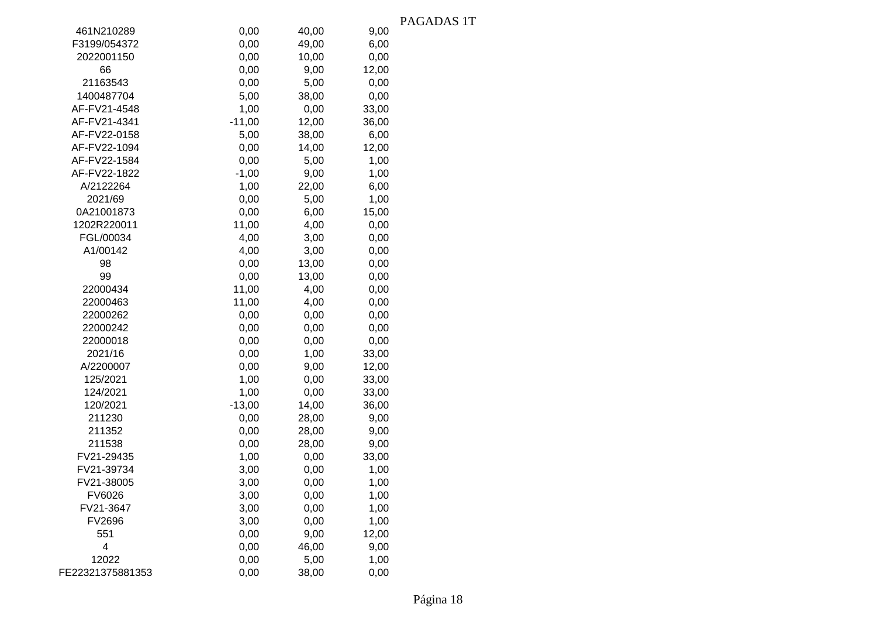|                  |          |       |       | PAGADAS 1T |
|------------------|----------|-------|-------|------------|
| 461N210289       | 0,00     | 40,00 | 9,00  |            |
| F3199/054372     | 0,00     | 49,00 | 6,00  |            |
| 2022001150       | 0,00     | 10,00 | 0,00  |            |
| 66               | 0,00     | 9,00  | 12,00 |            |
| 21163543         | 0,00     | 5,00  | 0,00  |            |
| 1400487704       | 5,00     | 38,00 | 0,00  |            |
| AF-FV21-4548     | 1,00     | 0,00  | 33,00 |            |
| AF-FV21-4341     | $-11,00$ | 12,00 | 36,00 |            |
| AF-FV22-0158     | 5,00     | 38,00 | 6,00  |            |
| AF-FV22-1094     | 0,00     | 14,00 | 12,00 |            |
| AF-FV22-1584     | 0,00     | 5,00  | 1,00  |            |
| AF-FV22-1822     | $-1,00$  | 9,00  | 1,00  |            |
| A/2122264        | 1,00     | 22,00 | 6,00  |            |
| 2021/69          | 0,00     | 5,00  | 1,00  |            |
| 0A21001873       | 0,00     | 6,00  | 15,00 |            |
| 1202R220011      | 11,00    | 4,00  | 0,00  |            |
| FGL/00034        | 4,00     | 3,00  | 0,00  |            |
| A1/00142         | 4,00     | 3,00  | 0,00  |            |
| 98               | 0,00     | 13,00 | 0,00  |            |
| 99               | 0,00     | 13,00 | 0,00  |            |
| 22000434         | 11,00    | 4,00  | 0,00  |            |
| 22000463         | 11,00    | 4,00  | 0,00  |            |
| 22000262         | 0,00     | 0,00  | 0,00  |            |
| 22000242         | 0,00     | 0,00  | 0,00  |            |
| 22000018         | 0,00     | 0,00  | 0,00  |            |
| 2021/16          | 0,00     | 1,00  | 33,00 |            |
| A/2200007        | 0,00     | 9,00  | 12,00 |            |
| 125/2021         | 1,00     | 0,00  | 33,00 |            |
| 124/2021         | 1,00     | 0,00  | 33,00 |            |
| 120/2021         | $-13,00$ | 14,00 | 36,00 |            |
| 211230           | 0,00     | 28,00 | 9,00  |            |
| 211352           | 0,00     | 28,00 | 9,00  |            |
| 211538           | 0,00     | 28,00 | 9,00  |            |
| FV21-29435       | 1,00     | 0,00  | 33,00 |            |
| FV21-39734       | 3,00     | 0,00  | 1,00  |            |
| FV21-38005       | 3,00     | 0,00  | 1,00  |            |
| FV6026           | 3,00     | 0,00  | 1,00  |            |
| FV21-3647        | 3,00     | 0,00  | 1,00  |            |
| FV2696           | 3,00     | 0,00  | 1,00  |            |
| 551              | 0,00     | 9,00  | 12,00 |            |
| 4                | 0,00     | 46,00 | 9,00  |            |
| 12022            | 0,00     | 5,00  | 1,00  |            |
| FE22321375881353 | 0,00     | 38,00 | 0,00  |            |
|                  |          |       |       |            |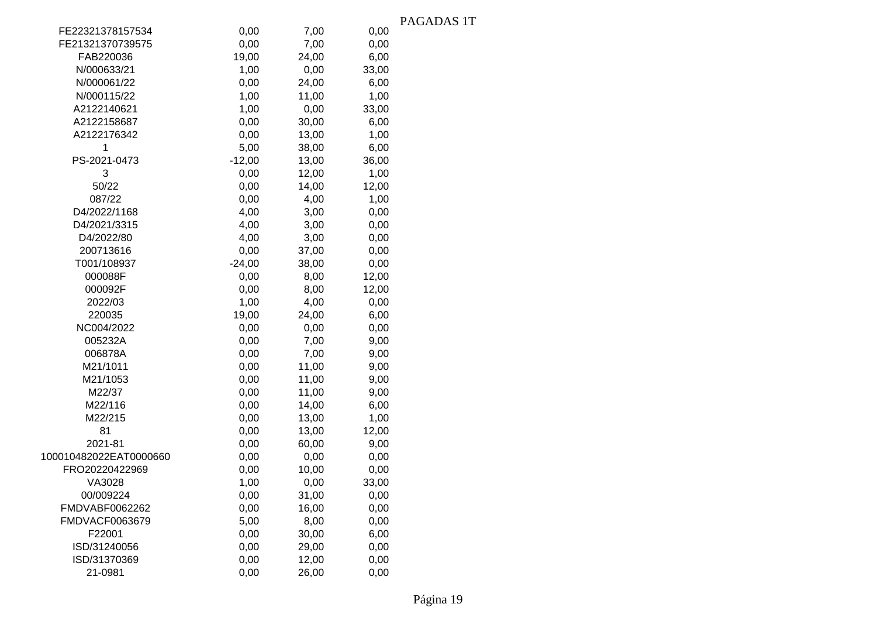|                        |          |       |       | PAGADAS 1T |
|------------------------|----------|-------|-------|------------|
| FE22321378157534       | 0,00     | 7,00  | 0,00  |            |
| FE21321370739575       | 0,00     | 7,00  | 0,00  |            |
| FAB220036              | 19,00    | 24,00 | 6,00  |            |
| N/000633/21            | 1,00     | 0,00  | 33,00 |            |
| N/000061/22            | 0,00     | 24,00 | 6,00  |            |
| N/000115/22            | 1,00     | 11,00 | 1,00  |            |
| A2122140621            | 1,00     | 0,00  | 33,00 |            |
| A2122158687            | 0,00     | 30,00 | 6,00  |            |
| A2122176342            | 0,00     | 13,00 | 1,00  |            |
| 1                      | 5,00     | 38,00 | 6,00  |            |
| PS-2021-0473           | $-12,00$ | 13,00 | 36,00 |            |
| 3                      | 0,00     | 12,00 | 1,00  |            |
| 50/22                  | 0,00     | 14,00 | 12,00 |            |
| 087/22                 | 0,00     | 4,00  | 1,00  |            |
| D4/2022/1168           | 4,00     | 3,00  | 0,00  |            |
| D4/2021/3315           | 4,00     | 3,00  | 0,00  |            |
| D4/2022/80             | 4,00     | 3,00  | 0,00  |            |
| 200713616              | 0,00     | 37,00 | 0,00  |            |
| T001/108937            | $-24,00$ | 38,00 | 0,00  |            |
| 000088F                | 0,00     | 8,00  | 12,00 |            |
| 000092F                | 0,00     | 8,00  | 12,00 |            |
| 2022/03                | 1,00     | 4,00  | 0,00  |            |
| 220035                 | 19,00    | 24,00 | 6,00  |            |
| NC004/2022             | 0,00     | 0,00  | 0,00  |            |
| 005232A                | 0,00     | 7,00  | 9,00  |            |
| 006878A                | 0,00     | 7,00  | 9,00  |            |
| M21/1011               | 0,00     | 11,00 | 9,00  |            |
| M21/1053               | 0,00     | 11,00 | 9,00  |            |
| M22/37                 | 0,00     | 11,00 | 9,00  |            |
| M22/116                | 0,00     | 14,00 | 6,00  |            |
| M22/215                | 0,00     | 13,00 | 1,00  |            |
| 81                     | 0,00     | 13,00 | 12,00 |            |
| 2021-81                | 0,00     | 60,00 | 9,00  |            |
| 100010482022EAT0000660 | 0,00     | 0,00  | 0,00  |            |
| FRO20220422969         | 0,00     | 10,00 | 0,00  |            |
| VA3028                 | 1,00     | 0,00  | 33,00 |            |
| 00/009224              | 0,00     | 31,00 | 0,00  |            |
| FMDVABF0062262         | 0,00     | 16,00 | 0,00  |            |
| FMDVACF0063679         | 5,00     | 8,00  | 0,00  |            |
| F22001                 | 0,00     | 30,00 | 6,00  |            |
| ISD/31240056           | 0,00     | 29,00 | 0,00  |            |
| ISD/31370369           | 0,00     | 12,00 | 0,00  |            |
| 21-0981                | 0,00     | 26,00 | 0,00  |            |